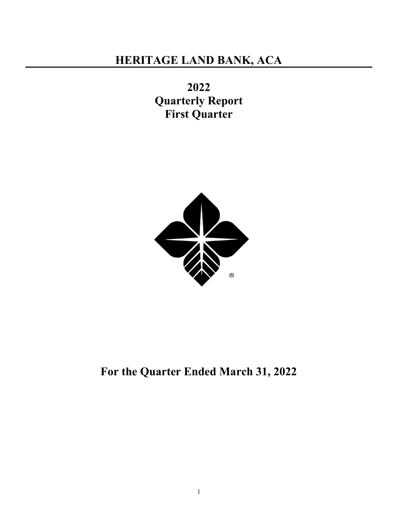2022 Quarterly Report First Quarter



For the Quarter Ended March 31, 2022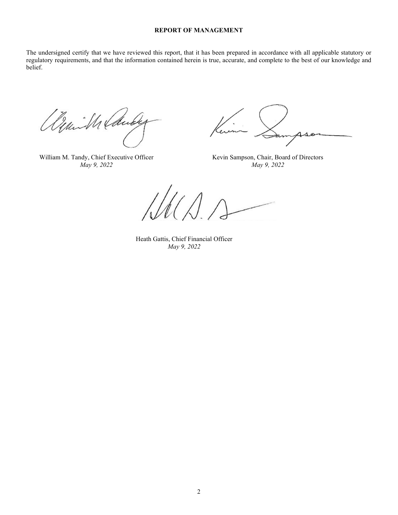#### REPORT OF MANAGEMENT

The undersigned certify that we have reviewed this report, that it has been prepared in accordance with all applicable statutory or regulatory requirements, and that the information contained herein is true, accurate, and complete to the best of our knowledge and belief.

Demille Caude

William M. Tandy, Chief Executive Officer Kevin Sampson, Chair, Board of Directors

May 9, 2022 May 9, 2022

 Heath Gattis, Chief Financial Officer May 9, 2022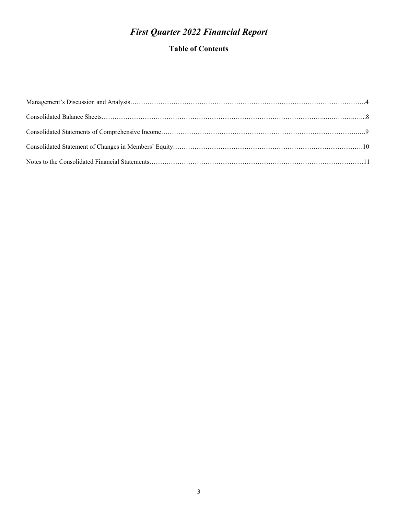# First Quarter 2022 Financial Report

## Table of Contents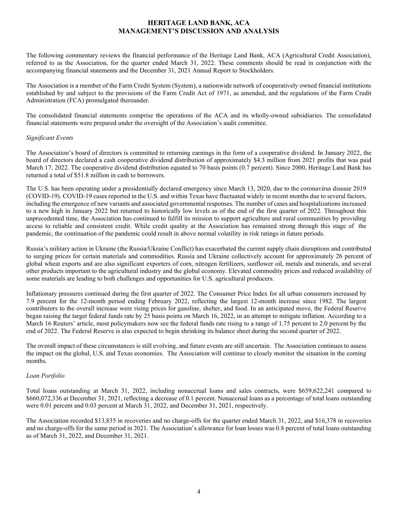## HERITAGE LAND BANK, ACA MANAGEMENT'S DISCUSSION AND ANALYSIS

The following commentary reviews the financial performance of the Heritage Land Bank, ACA (Agricultural Credit Association), referred to as the Association, for the quarter ended March 31, 2022. These comments should be read in conjunction with the accompanying financial statements and the December 31, 2021 Annual Report to Stockholders.

The Association is a member of the Farm Credit System (System), a nationwide network of cooperatively owned financial institutions established by and subject to the provisions of the Farm Credit Act of 1971, as amended, and the regulations of the Farm Credit Administration (FCA) promulgated thereunder.

The consolidated financial statements comprise the operations of the ACA and its wholly-owned subsidiaries. The consolidated financial statements were prepared under the oversight of the Association's audit committee.

## Significant Events

The Association's board of directors is committed to returning earnings in the form of a cooperative dividend. In January 2022, the board of directors declared a cash cooperative dividend distribution of approximately \$4.3 million from 2021 profits that was paid March 17, 2022. The cooperative dividend distribution equated to 70 basis points (0.7 percent). Since 2000, Heritage Land Bank has returned a total of \$51.8 million in cash to borrowers.

The U.S. has been operating under a presidentially declared emergency since March 13, 2020, due to the coronavirus disease 2019 (COVID-19). COVID-19 cases reported in the U.S. and within Texas have fluctuated widely in recent months due to several factors, including the emergence of new variants and associated governmental responses. The number of cases and hospitalizations increased to a new high in January 2022 but returned to historically low levels as of the end of the first quarter of 2022. Throughout this unprecedented time, the Association has continued to fulfill its mission to support agriculture and rural communities by providing access to reliable and consistent credit. While credit quality at the Association has remained strong through this stage of the pandemic, the continuation of the pandemic could result in above normal volatility in risk ratings in future periods.

Russia's military action in Ukraine (the Russia/Ukraine Conflict) has exacerbated the current supply chain disruptions and contributed to surging prices for certain materials and commodities. Russia and Ukraine collectively account for approximately 26 percent of global wheat exports and are also significant exporters of corn, nitrogen fertilizers, sunflower oil, metals and minerals, and several other products important to the agricultural industry and the global economy. Elevated commodity prices and reduced availability of some materials are leading to both challenges and opportunities for U.S. agricultural producers.

Inflationary pressures continued during the first quarter of 2022. The Consumer Price Index for all urban consumers increased by 7.9 percent for the 12-month period ending February 2022, reflecting the largest 12-month increase since 1982. The largest contributors to the overall increase were rising prices for gasoline, shelter, and food. In an anticipated move, the Federal Reserve began raising the target federal funds rate by 25 basis points on March 16, 2022, in an attempt to mitigate inflation. According to a March 16 Reuters' article, most policymakers now see the federal funds rate rising to a range of 1.75 percent to 2.0 percent by the end of 2022. The Federal Reserve is also expected to begin shrinking its balance sheet during the second quarter of 2022.

The overall impact of these circumstances is still evolving, and future events are still uncertain. The Association continues to assess the impact on the global, U.S. and Texas economies. The Association will continue to closely monitor the situation in the coming months.

## Loan Portfolio

Total loans outstanding at March 31, 2022, including nonaccrual loans and sales contracts, were \$659,622,241 compared to \$660,072,336 at December 31, 2021, reflecting a decrease of 0.1 percent. Nonaccrual loans as a percentage of total loans outstanding were 0.01 percent and 0.03 percent at March 31, 2022, and December 31, 2021, respectively.

The Association recorded \$13,835 in recoveries and no charge-offs for the quarter ended March 31, 2022, and \$16,378 in recoveries and no charge-offs for the same period in 2021. The Association's allowance for loan losses was 0.8 percent of total loans outstanding as of March 31, 2022, and December 31, 2021.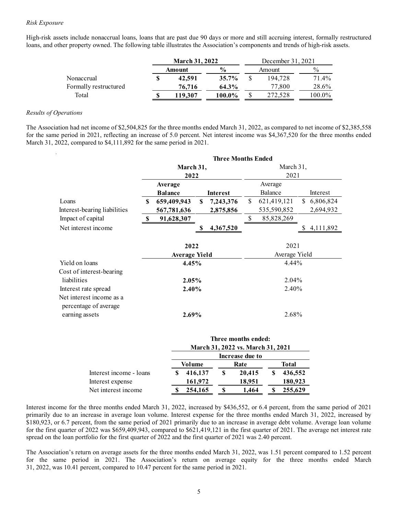High-risk assets include nonaccrual loans, loans that are past due 90 days or more and still accruing interest, formally restructured loans, and other property owned. The following table illustrates the Association's components and trends of high-risk assets.

| ts include nonaccrual loans, loans that are past due 90 days or more and still accruing interest, formally restructured<br>er property owned. The following table illustrates the Association's components and trends of high-risk assets. | <b>March 31, 2022</b> |                |              | December 31, 2021 |                |  |  |
|--------------------------------------------------------------------------------------------------------------------------------------------------------------------------------------------------------------------------------------------|-----------------------|----------------|--------------|-------------------|----------------|--|--|
|                                                                                                                                                                                                                                            | Amount                | $\frac{6}{6}$  |              | Amount            | $\frac{0}{0}$  |  |  |
| Nonaccrual<br>Formally restructured                                                                                                                                                                                                        | 42,591<br>76,716      | 35.7%<br>64.3% | $\mathbb{S}$ | 194,728<br>77,800 | 71.4%<br>28.6% |  |  |

#### Results of Operations

The Association had net income of \$2,504,825 for the three months ended March 31, 2022, as compared to net income of \$2,385,558 for the same period in 2021, reflecting an increase of 5.0 percent. Net interest income was \$4,367,520 for the three months ended March 31, 2022, compared to \$4,111,892 for the same period in 2021.

|                                                                                                                                                                                                                                                                                                                      |               | March 31, 2022                |             |                              |             | December 31, 2021                 |         |                         |
|----------------------------------------------------------------------------------------------------------------------------------------------------------------------------------------------------------------------------------------------------------------------------------------------------------------------|---------------|-------------------------------|-------------|------------------------------|-------------|-----------------------------------|---------|-------------------------|
|                                                                                                                                                                                                                                                                                                                      |               | Amount                        |             | $\frac{0}{0}$                |             | Amount                            |         | $\frac{0}{0}$           |
| Nonaccrual                                                                                                                                                                                                                                                                                                           | <sup>\$</sup> | 42,591                        |             | 35.7%                        | \$          | 194,728                           |         | 71.4%                   |
| Formally restructured                                                                                                                                                                                                                                                                                                |               | 76,716                        |             | 64.3%                        |             | 77,800                            |         | 28.6%                   |
| Total                                                                                                                                                                                                                                                                                                                | $\mathbf{\$}$ | 119,307                       |             | 100.0%                       | \$          | 272,528                           |         | 100.0%                  |
| perations                                                                                                                                                                                                                                                                                                            |               |                               |             |                              |             |                                   |         |                         |
| ition had net income of \$2,504,825 for the three months ended March 31, 2022, as compared to net income of \$2,385,558<br>e period in 2021, reflecting an increase of 5.0 percent. Net interest income was \$4,367,520 for the three months ended<br>$0.022$ , compared to \$4,111,892 for the same period in 2021. |               |                               |             | <b>Three Months Ended</b>    |             |                                   |         |                         |
|                                                                                                                                                                                                                                                                                                                      |               | March 31,                     |             |                              |             | March 31,                         |         |                         |
|                                                                                                                                                                                                                                                                                                                      |               | 2022                          |             |                              |             | 2021                              |         |                         |
|                                                                                                                                                                                                                                                                                                                      |               | Average                       |             |                              |             | Average                           |         |                         |
| Loans                                                                                                                                                                                                                                                                                                                |               | <b>Balance</b><br>659,409,943 | $\mathbf S$ | <b>Interest</b><br>7,243,376 | S.          | Balance<br>621,419,121            |         | Interest<br>\$6,806,824 |
| Interest-bearing liabilities                                                                                                                                                                                                                                                                                         |               | 567,781,636                   |             | 2,875,856                    |             | 535,590,852                       |         | 2,694,932               |
| Impact of capital                                                                                                                                                                                                                                                                                                    | S             | 91,628,307                    |             |                              | $\mathbb S$ | 85,828,269                        |         |                         |
| Net interest income                                                                                                                                                                                                                                                                                                  |               |                               | S.          | 4,367,520                    |             |                                   |         | \$4,111,892             |
|                                                                                                                                                                                                                                                                                                                      |               | 2022                          |             |                              |             | 2021                              |         |                         |
|                                                                                                                                                                                                                                                                                                                      |               | <b>Average Yield</b>          |             |                              |             | Average Yield                     |         |                         |
| Yield on loans                                                                                                                                                                                                                                                                                                       |               | 4.45%                         |             |                              |             |                                   | 4.44%   |                         |
| Cost of interest-bearing                                                                                                                                                                                                                                                                                             |               |                               |             |                              |             |                                   |         |                         |
| liabilities                                                                                                                                                                                                                                                                                                          |               | 2.05%                         |             |                              |             | 2.04%                             |         |                         |
| Interest rate spread<br>Net interest income as a                                                                                                                                                                                                                                                                     |               | 2.40%                         |             |                              |             |                                   | 2.40%   |                         |
| percentage of average                                                                                                                                                                                                                                                                                                |               |                               |             |                              |             |                                   | 2.68%   |                         |
| earning assets                                                                                                                                                                                                                                                                                                       |               | 2.69%                         |             |                              |             |                                   |         |                         |
|                                                                                                                                                                                                                                                                                                                      |               |                               |             | Three months ended:          |             |                                   |         |                         |
|                                                                                                                                                                                                                                                                                                                      |               |                               |             |                              |             | March 31, 2022 vs. March 31, 2021 |         |                         |
|                                                                                                                                                                                                                                                                                                                      |               |                               |             | Increase due to              |             |                                   |         |                         |
|                                                                                                                                                                                                                                                                                                                      |               | Volume                        |             |                              | Rate        | <b>Total</b>                      |         |                         |
| Interest income - loans                                                                                                                                                                                                                                                                                              |               | 416,137<br>S.                 |             | \$                           | 20,415      | S                                 | 436,552 |                         |
| Interest expense                                                                                                                                                                                                                                                                                                     |               | 161,972                       |             |                              | 18,951      |                                   | 180,923 |                         |

|                         |         | Three months ended:               |  |         |
|-------------------------|---------|-----------------------------------|--|---------|
|                         |         | March 31, 2022 vs. March 31, 2021 |  |         |
|                         |         | Increase due to                   |  |         |
|                         | Volume  | Rate                              |  | Total   |
| Interest income - loans | 416,137 | 20,415                            |  | 436,552 |
| Interest expense        | 161,972 | 18,951                            |  | 180,923 |
| Net interest income     | 254,165 | 1.464                             |  | 255,629 |

Interest income for the three months ended March 31, 2022, increased by \$436,552, or 6.4 percent, from the same period of 2021 primarily due to an increase in average loan volume. Interest expense for the three months ended March 31, 2022, increased by \$180,923, or 6.7 percent, from the same period of 2021 primarily due to an increase in average debt volume. Average loan volume for the first quarter of 2022 was \$659,409,943, compared to \$621,419,121 in the first quarter of 2021. The average net interest rate spread on the loan portfolio for the first quarter of 2022 and the first quarter of 2021 was 2.40 percent.

The Association's return on average assets for the three months ended March 31, 2022, was 1.51 percent compared to 1.52 percent for the same period in 2021. The Association's return on average equity for the three months ended March 31, 2022, was 10.41 percent, compared to 10.47 percent for the same period in 2021.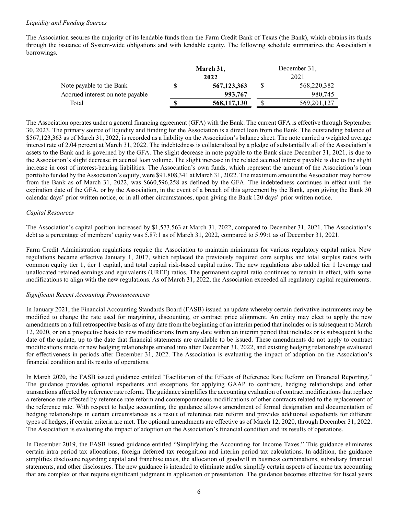#### Liquidity and Funding Sources

The Association secures the majority of its lendable funds from the Farm Credit Bank of Texas (the Bank), which obtains its funds through the issuance of System-wide obligations and with lendable equity. The following schedule summarizes the Association's borrowings.

|                                  | March 31,   | December 31, |
|----------------------------------|-------------|--------------|
|                                  | 2022        | 2021         |
| Note payable to the Bank         | 567,123,363 | 568,220,382  |
| Accrued interest on note payable | 993,767     | 980,745      |
| Total                            | 568,117,130 | 569,201,127  |

The Association operates under a general financing agreement (GFA) with the Bank. The current GFA is effective through September 30, 2023. The primary source of liquidity and funding for the Association is a direct loan from the Bank. The outstanding balance of \$567,123,363 as of March 31, 2022, is recorded as a liability on the Association's balance sheet. The note carried a weighted average interest rate of 2.04 percent at March 31, 2022. The indebtedness is collateralized by a pledge of substantially all of the Association's assets to the Bank and is governed by the GFA. The slight decrease in note payable to the Bank since December 31, 2021, is due to the Association's slight decrease in accrual loan volume. The slight increase in the related accrued interest payable is due to the slight increase in cost of interest-bearing liabilities. The Association's own funds, which represent the amount of the Association's loan portfolio funded by the Association's equity, were \$91,808,341 at March 31, 2022. The maximum amount the Association may borrow from the Bank as of March 31, 2022, was \$660,596,258 as defined by the GFA. The indebtedness continues in effect until the expiration date of the GFA, or by the Association, in the event of a breach of this agreement by the Bank, upon giving the Bank 30 calendar days' prior written notice, or in all other circumstances, upon giving the Bank 120 days' prior written notice.

#### Capital Resources

The Association's capital position increased by \$1,573,563 at March 31, 2022, compared to December 31, 2021. The Association's debt as a percentage of members' equity was 5.87:1 as of March 31, 2022, compared to 5.99:1 as of December 31, 2021.

Farm Credit Administration regulations require the Association to maintain minimums for various regulatory capital ratios. New regulations became effective January 1, 2017, which replaced the previously required core surplus and total surplus ratios with common equity tier 1, tier 1 capital, and total capital risk-based capital ratios. The new regulations also added tier 1 leverage and unallocated retained earnings and equivalents (UREE) ratios. The permanent capital ratio continues to remain in effect, with some modifications to align with the new regulations. As of March 31, 2022, the Association exceeded all regulatory capital requirements.

#### Significant Recent Accounting Pronouncements

In January 2021, the Financial Accounting Standards Board (FASB) issued an update whereby certain derivative instruments may be modified to change the rate used for margining, discounting, or contract price alignment. An entity may elect to apply the new amendments on a full retrospective basis as of any date from the beginning of an interim period that includes or is subsequent to March 12, 2020, or on a prospective basis to new modifications from any date within an interim period that includes or is subsequent to the date of the update, up to the date that financial statements are available to be issued. These amendments do not apply to contract modifications made or new hedging relationships entered into after December 31, 2022, and existing hedging relationships evaluated for effectiveness in periods after December 31, 2022. The Association is evaluating the impact of adoption on the Association's financial condition and its results of operations.

In March 2020, the FASB issued guidance entitled "Facilitation of the Effects of Reference Rate Reform on Financial Reporting." The guidance provides optional expedients and exceptions for applying GAAP to contracts, hedging relationships and other transactions affected by reference rate reform. The guidance simplifies the accounting evaluation of contract modifications that replace a reference rate affected by reference rate reform and contemporaneous modifications of other contracts related to the replacement of the reference rate. With respect to hedge accounting, the guidance allows amendment of formal designation and documentation of hedging relationships in certain circumstances as a result of reference rate reform and provides additional expedients for different types of hedges, if certain criteria are met. The optional amendments are effective as of March 12, 2020, through December 31, 2022. The Association is evaluating the impact of adoption on the Association's financial condition and its results of operations.

In December 2019, the FASB issued guidance entitled "Simplifying the Accounting for Income Taxes." This guidance eliminates certain intra period tax allocations, foreign deferred tax recognition and interim period tax calculations. In addition, the guidance simplifies disclosure regarding capital and franchise taxes, the allocation of goodwill in business combinations, subsidiary financial statements, and other disclosures. The new guidance is intended to eliminate and/or simplify certain aspects of income tax accounting that are complex or that require significant judgment in application or presentation. The guidance becomes effective for fiscal years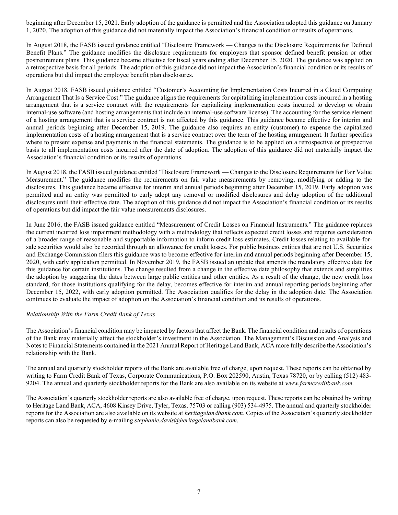beginning after December 15, 2021. Early adoption of the guidance is permitted and the Association adopted this guidance on January 1, 2020. The adoption of this guidance did not materially impact the Association's financial condition or results of operations.

In August 2018, the FASB issued guidance entitled "Disclosure Framework — Changes to the Disclosure Requirements for Defined Benefit Plans." The guidance modifies the disclosure requirements for employers that sponsor defined benefit pension or other postretirement plans. This guidance became effective for fiscal years ending after December 15, 2020. The guidance was applied on a retrospective basis for all periods. The adoption of this guidance did not impact the Association's financial condition or its results of operations but did impact the employee benefit plan disclosures.

In August 2018, FASB issued guidance entitled "Customer's Accounting for Implementation Costs Incurred in a Cloud Computing Arrangement That Is a Service Cost." The guidance aligns the requirements for capitalizing implementation costs incurred in a hosting arrangement that is a service contract with the requirements for capitalizing implementation costs incurred to develop or obtain internal-use software (and hosting arrangements that include an internal-use software license). The accounting for the service element of a hosting arrangement that is a service contract is not affected by this guidance. This guidance became effective for interim and annual periods beginning after December 15, 2019. The guidance also requires an entity (customer) to expense the capitalized implementation costs of a hosting arrangement that is a service contract over the term of the hosting arrangement. It further specifies where to present expense and payments in the financial statements. The guidance is to be applied on a retrospective or prospective basis to all implementation costs incurred after the date of adoption. The adoption of this guidance did not materially impact the Association's financial condition or its results of operations.

In August 2018, the FASB issued guidance entitled "Disclosure Framework — Changes to the Disclosure Requirements for Fair Value Measurement." The guidance modifies the requirements on fair value measurements by removing, modifying or adding to the disclosures. This guidance became effective for interim and annual periods beginning after December 15, 2019. Early adoption was permitted and an entity was permitted to early adopt any removal or modified disclosures and delay adoption of the additional disclosures until their effective date. The adoption of this guidance did not impact the Association's financial condition or its results of operations but did impact the fair value measurements disclosures.

In June 2016, the FASB issued guidance entitled "Measurement of Credit Losses on Financial Instruments." The guidance replaces the current incurred loss impairment methodology with a methodology that reflects expected credit losses and requires consideration of a broader range of reasonable and supportable information to inform credit loss estimates. Credit losses relating to available-forsale securities would also be recorded through an allowance for credit losses. For public business entities that are not U.S. Securities and Exchange Commission filers this guidance was to become effective for interim and annual periods beginning after December 15, 2020, with early application permitted. In November 2019, the FASB issued an update that amends the mandatory effective date for this guidance for certain institutions. The change resulted from a change in the effective date philosophy that extends and simplifies the adoption by staggering the dates between large public entities and other entities. As a result of the change, the new credit loss standard, for those institutions qualifying for the delay, becomes effective for interim and annual reporting periods beginning after December 15, 2022, with early adoption permitted. The Association qualifies for the delay in the adoption date. The Association continues to evaluate the impact of adoption on the Association's financial condition and its results of operations.

## Relationship With the Farm Credit Bank of Texas

The Association's financial condition may be impacted by factors that affect the Bank. The financial condition and results of operations of the Bank may materially affect the stockholder's investment in the Association. The Management's Discussion and Analysis and Notes to Financial Statements contained in the 2021 Annual Report of Heritage Land Bank, ACA more fully describe the Association's relationship with the Bank.

The annual and quarterly stockholder reports of the Bank are available free of charge, upon request. These reports can be obtained by writing to Farm Credit Bank of Texas, Corporate Communications, P.O. Box 202590, Austin, Texas 78720, or by calling (512) 483- 9204. The annual and quarterly stockholder reports for the Bank are also available on its website at www.farmcreditbank.com.

The Association's quarterly stockholder reports are also available free of charge, upon request. These reports can be obtained by writing to Heritage Land Bank, ACA, 4608 Kinsey Drive, Tyler, Texas, 75703 or calling (903) 534-4975. The annual and quarterly stockholder reports for the Association are also available on its website at *heritagelandbank.com*. Copies of the Association's quarterly stockholder reports can also be requested by e-mailing *stephanie.davis@heritagelandbank.com.*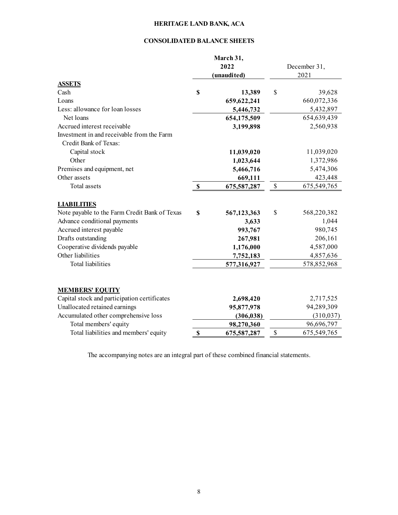## CONSOLIDATED BALANCE SHEETS

|                                                                     |                           | March 31,<br>2022<br>(unaudited) |              | December 31,<br>2021 |
|---------------------------------------------------------------------|---------------------------|----------------------------------|--------------|----------------------|
| <b>ASSETS</b>                                                       |                           |                                  |              |                      |
| Cash                                                                | \$                        | 13,389                           | \$           | 39,628               |
| Loans                                                               |                           | 659, 622, 241                    |              | 660,072,336          |
| Less: allowance for loan losses                                     |                           | 5,446,732                        |              | 5,432,897            |
| Net loans                                                           |                           | 654,175,509                      |              | 654,639,439          |
| Accrued interest receivable                                         |                           | 3,199,898                        |              | 2,560,938            |
| Investment in and receivable from the Farm<br>Credit Bank of Texas: |                           |                                  |              |                      |
| Capital stock                                                       |                           | 11,039,020                       |              | 11,039,020           |
| Other                                                               |                           | 1,023,644                        |              | 1,372,986            |
| Premises and equipment, net                                         |                           | 5,466,716                        |              | 5,474,306            |
| Other assets                                                        |                           | 669,111                          |              | 423,448              |
| Total assets                                                        | \$                        | 675,587,287                      | $\mathbb{S}$ | 675,549,765          |
| <b>LIABILITIES</b>                                                  |                           |                                  |              |                      |
| Note payable to the Farm Credit Bank of Texas                       | \$                        | 567,123,363                      | \$           | 568,220,382          |
| Advance conditional payments                                        |                           | 3,633                            |              | 1,044                |
| Accrued interest payable                                            |                           | 993,767                          |              | 980,745              |
| Drafts outstanding                                                  |                           | 267,981                          |              | 206,161              |
| Cooperative dividends payable                                       |                           | 1,176,000                        |              | 4,587,000            |
| Other liabilities                                                   |                           | 7,752,183                        |              | 4,857,636            |
| <b>Total liabilities</b>                                            |                           | 577,316,927                      |              | 578,852,968          |
| <b>MEMBERS' EQUITY</b>                                              |                           |                                  |              |                      |
| Capital stock and participation certificates                        |                           | 2,698,420                        |              | 2,717,525            |
| Unallocated retained earnings                                       |                           | 95,877,978                       |              | 94,289,309           |
| Accumulated other comprehensive loss                                |                           | (306, 038)                       |              | (310, 037)           |
| Total members' equity                                               |                           | 98,270,360                       |              | 96,696,797           |
| Total liabilities and members' equity                               | $\boldsymbol{\mathsf{S}}$ | 675,587,287                      | \$           | 675, 549, 765        |
|                                                                     |                           |                                  |              |                      |

The accompanying notes are an integral part of these combined financial statements.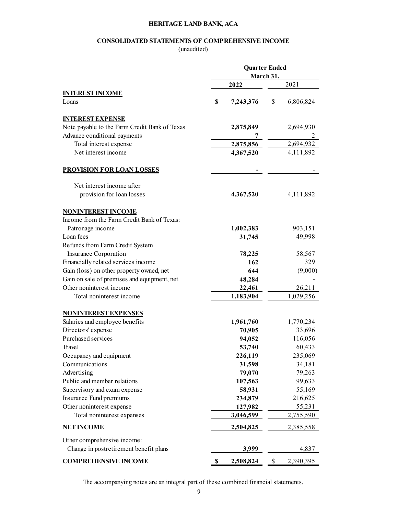## CONSOLIDATED STATEMENTS OF COMPREHENSIVE INCOME

(unaudited)

|                                                         | <b>Quarter Ended</b> |           |                     |
|---------------------------------------------------------|----------------------|-----------|---------------------|
|                                                         |                      | March 31, |                     |
|                                                         | 2022                 |           | 2021                |
| <b>INTEREST INCOME</b>                                  |                      |           |                     |
| Loans                                                   | \$<br>7,243,376      | \$        | 6,806,824           |
| <b>INTEREST EXPENSE</b>                                 |                      |           |                     |
| Note payable to the Farm Credit Bank of Texas           | 2,875,849            |           | 2,694,930           |
| Advance conditional payments                            | 7                    |           | 2                   |
| Total interest expense                                  | 2,875,856            |           | 2,694,932           |
| Net interest income                                     | 4,367,520            |           | 4,111,892           |
| <b>PROVISION FOR LOAN LOSSES</b>                        |                      |           |                     |
| Net interest income after                               |                      |           |                     |
| provision for loan losses                               | 4,367,520            |           | 4,111,892           |
| <b>NONINTEREST INCOME</b>                               |                      |           |                     |
| Income from the Farm Credit Bank of Texas:              |                      |           |                     |
| Patronage income                                        | 1,002,383            |           | 903,151             |
| Loan fees                                               | 31,745               |           | 49,998              |
| Refunds from Farm Credit System                         |                      |           |                     |
| Insurance Corporation                                   | 78,225               |           | 58,567              |
| Financially related services income                     | 162                  |           | 329                 |
| Gain (loss) on other property owned, net                | 644                  |           | (9,000)             |
| Gain on sale of premises and equipment, net             | 48,284               |           |                     |
| Other noninterest income                                | 22,461               |           | 26,211              |
| Total noninterest income                                | 1,183,904            |           | 1,029,256           |
| <b>NONINTEREST EXPENSES</b>                             |                      |           |                     |
| Salaries and employee benefits                          | 1,961,760            |           | 1,770,234           |
| Directors' expense                                      | 70,905               |           | 33,696              |
| Purchased services                                      | 94,052               |           | 116,056             |
| Travel                                                  | 53,740               |           | 60,433              |
| Occupancy and equipment                                 | 226,119              |           | 235,069             |
| Communications                                          | 31,598               |           | 34,181              |
| Advertising                                             | 79,070               |           | 79,263              |
| Public and member relations                             | 107,563              |           | 99,633              |
| Supervisory and exam expense                            | 58,931               |           | 55,169              |
| Insurance Fund premiums                                 | 234,879              |           | 216,625             |
|                                                         |                      |           |                     |
| Other noninterest expense<br>Total noninterest expenses | 127,982<br>3,046,599 |           | 55,231<br>2,755,590 |
| <b>NET INCOME</b>                                       | 2,504,825            |           | 2,385,558           |
| Other comprehensive income:                             |                      |           |                     |
|                                                         | 3,999                |           | 4,837               |
| Change in postretirement benefit plans                  |                      | \$        | 2,390,395           |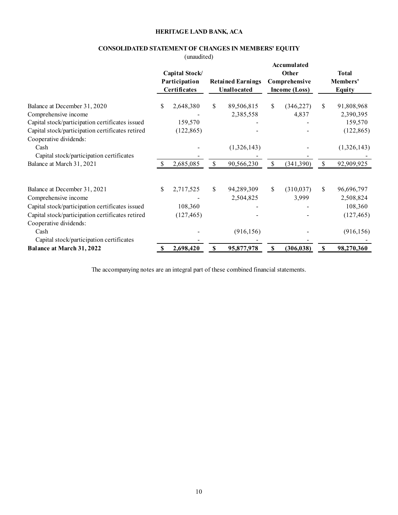## CONSOLIDATED STATEMENT OF CHANGES IN MEMBERS' EQUITY

| <b>CONSOLIDATED STATEMENT OF CHANGES IN MEMBERS' EQUITY</b>                                                                                                                                   |              | HERITAGE LAND BANK, ACA                                        |              |                                         |              |                                                        |      |                                                                |
|-----------------------------------------------------------------------------------------------------------------------------------------------------------------------------------------------|--------------|----------------------------------------------------------------|--------------|-----------------------------------------|--------------|--------------------------------------------------------|------|----------------------------------------------------------------|
|                                                                                                                                                                                               |              | (unaudited)<br>Capital Stock/<br>Participation<br>Certificates |              | <b>Retained Earnings</b><br>Unallocated |              | Accumulated<br>Other<br>Comprehensive<br>Income (Loss) |      | <b>Total</b><br>Members'<br>Equity                             |
| Balance at December 31, 2020<br>Comprehensive income<br>Capital stock/participation certificates issued<br>Capital stock/participation certificates retired<br>Cooperative dividends:         | \$           | 2,648,380<br>159,570<br>(122, 865)                             | S            | 89,506,815<br>2,385,558                 | S            | (346, 227)<br>4,837                                    | S    | 91,808,968<br>2,390,395<br>159,570<br>(122, 865)               |
| Cash<br>Capital stock/participation certificates<br>Balance at March 31, 2021                                                                                                                 |              | 2,685,085                                                      | $\mathbb{S}$ | (1,326,143)<br>90,566,230               | \$           | (341,390)                                              | $\$$ | (1,326,143)<br>92,909,925                                      |
|                                                                                                                                                                                               |              |                                                                |              |                                         |              |                                                        |      |                                                                |
| Balance at December 31, 2021<br>Comprehensive income<br>Capital stock/participation certificates issued<br>Capital stock/participation certificates retired<br>Cooperative dividends:<br>Cash | \$           | 2,717,525<br>108,360<br>(127, 465)                             | -S           | 94,289,309<br>2,504,825<br>(916, 156)   | \$           | (310, 037)<br>3,999                                    | S    | 96,696,797<br>2,508,824<br>108,360<br>(127, 465)<br>(916, 156) |
| Capital stock/participation certificates                                                                                                                                                      | $\mathbb{S}$ | 2,698,420                                                      | <sup>S</sup> | 95,877,978                              | $\mathbf{s}$ | (306, 038)                                             | - S  | 98,270,360                                                     |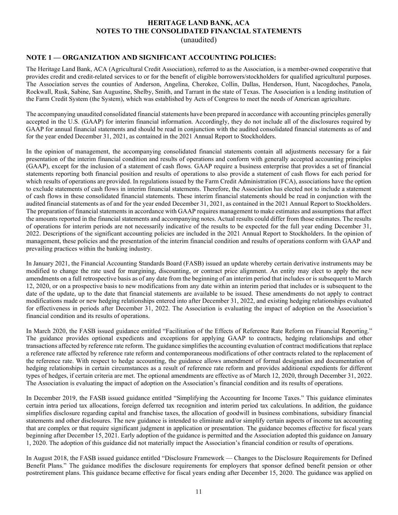## HERITAGE LAND BANK, ACA NOTES TO THE CONSOLIDATED FINANCIAL STATEMENTS

(unaudited)

## NOTE 1 — ORGANIZATION AND SIGNIFICANT ACCOUNTING POLICIES:

The Heritage Land Bank, ACA (Agricultural Credit Association), referred to as the Association, is a member-owned cooperative that provides credit and credit-related services to or for the benefit of eligible borrowers/stockholders for qualified agricultural purposes. The Association serves the counties of Anderson, Angelina, Cherokee, Collin, Dallas, Henderson, Hunt, Nacogdoches, Panola, Rockwall, Rusk, Sabine, San Augustine, Shelby, Smith, and Tarrant in the state of Texas. The Association is a lending institution of the Farm Credit System (the System), which was established by Acts of Congress to meet the needs of American agriculture.

The accompanying unaudited consolidated financial statements have been prepared in accordance with accounting principles generally accepted in the U.S. (GAAP) for interim financial information. Accordingly, they do not include all of the disclosures required by GAAP for annual financial statements and should be read in conjunction with the audited consolidated financial statements as of and for the year ended December 31, 2021, as contained in the 2021 Annual Report to Stockholders.

In the opinion of management, the accompanying consolidated financial statements contain all adjustments necessary for a fair presentation of the interim financial condition and results of operations and conform with generally accepted accounting principles (GAAP), except for the inclusion of a statement of cash flows. GAAP require a business enterprise that provides a set of financial statements reporting both financial position and results of operations to also provide a statement of cash flows for each period for which results of operations are provided. In regulations issued by the Farm Credit Administration (FCA), associations have the option to exclude statements of cash flows in interim financial statements. Therefore, the Association has elected not to include a statement of cash flows in these consolidated financial statements. These interim financial statements should be read in conjunction with the audited financial statements as of and for the year ended December 31, 2021, as contained in the 2021 Annual Report to Stockholders. The preparation of financial statements in accordance with GAAP requires management to make estimates and assumptions that affect the amounts reported in the financial statements and accompanying notes. Actual results could differ from those estimates. The results of operations for interim periods are not necessarily indicative of the results to be expected for the full year ending December 31, 2022. Descriptions of the significant accounting policies are included in the 2021 Annual Report to Stockholders. In the opinion of management, these policies and the presentation of the interim financial condition and results of operations conform with GAAP and prevailing practices within the banking industry.

In January 2021, the Financial Accounting Standards Board (FASB) issued an update whereby certain derivative instruments may be modified to change the rate used for margining, discounting, or contract price alignment. An entity may elect to apply the new amendments on a full retrospective basis as of any date from the beginning of an interim period that includes or is subsequent to March 12, 2020, or on a prospective basis to new modifications from any date within an interim period that includes or is subsequent to the date of the update, up to the date that financial statements are available to be issued. These amendments do not apply to contract modifications made or new hedging relationships entered into after December 31, 2022, and existing hedging relationships evaluated for effectiveness in periods after December 31, 2022. The Association is evaluating the impact of adoption on the Association's financial condition and its results of operations.

In March 2020, the FASB issued guidance entitled "Facilitation of the Effects of Reference Rate Reform on Financial Reporting." The guidance provides optional expedients and exceptions for applying GAAP to contracts, hedging relationships and other transactions affected by reference rate reform. The guidance simplifies the accounting evaluation of contract modifications that replace a reference rate affected by reference rate reform and contemporaneous modifications of other contracts related to the replacement of the reference rate. With respect to hedge accounting, the guidance allows amendment of formal designation and documentation of hedging relationships in certain circumstances as a result of reference rate reform and provides additional expedients for different types of hedges, if certain criteria are met. The optional amendments are effective as of March 12, 2020, through December 31, 2022. The Association is evaluating the impact of adoption on the Association's financial condition and its results of operations.

In December 2019, the FASB issued guidance entitled "Simplifying the Accounting for Income Taxes." This guidance eliminates certain intra period tax allocations, foreign deferred tax recognition and interim period tax calculations. In addition, the guidance simplifies disclosure regarding capital and franchise taxes, the allocation of goodwill in business combinations, subsidiary financial statements and other disclosures. The new guidance is intended to eliminate and/or simplify certain aspects of income tax accounting that are complex or that require significant judgment in application or presentation. The guidance becomes effective for fiscal years beginning after December 15, 2021. Early adoption of the guidance is permitted and the Association adopted this guidance on January 1, 2020. The adoption of this guidance did not materially impact the Association's financial condition or results of operations.

In August 2018, the FASB issued guidance entitled "Disclosure Framework — Changes to the Disclosure Requirements for Defined Benefit Plans." The guidance modifies the disclosure requirements for employers that sponsor defined benefit pension or other postretirement plans. This guidance became effective for fiscal years ending after December 15, 2020. The guidance was applied on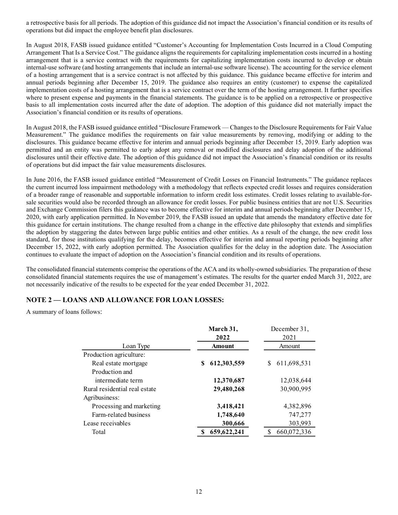a retrospective basis for all periods. The adoption of this guidance did not impact the Association's financial condition or its results of operations but did impact the employee benefit plan disclosures.

In August 2018, FASB issued guidance entitled "Customer's Accounting for Implementation Costs Incurred in a Cloud Computing Arrangement That Is a Service Cost." The guidance aligns the requirements for capitalizing implementation costs incurred in a hosting arrangement that is a service contract with the requirements for capitalizing implementation costs incurred to develop or obtain internal-use software (and hosting arrangements that include an internal-use software license). The accounting for the service element of a hosting arrangement that is a service contract is not affected by this guidance. This guidance became effective for interim and annual periods beginning after December 15, 2019. The guidance also requires an entity (customer) to expense the capitalized implementation costs of a hosting arrangement that is a service contract over the term of the hosting arrangement. It further specifies where to present expense and payments in the financial statements. The guidance is to be applied on a retrospective or prospective basis to all implementation costs incurred after the date of adoption. The adoption of this guidance did not materially impact the Association's financial condition or its results of operations.

In August 2018, the FASB issued guidance entitled "Disclosure Framework — Changes to the Disclosure Requirements for Fair Value Measurement." The guidance modifies the requirements on fair value measurements by removing, modifying or adding to the disclosures. This guidance became effective for interim and annual periods beginning after December 15, 2019. Early adoption was permitted and an entity was permitted to early adopt any removal or modified disclosures and delay adoption of the additional disclosures until their effective date. The adoption of this guidance did not impact the Association's financial condition or its results of operations but did impact the fair value measurements disclosures.

In June 2016, the FASB issued guidance entitled "Measurement of Credit Losses on Financial Instruments." The guidance replaces the current incurred loss impairment methodology with a methodology that reflects expected credit losses and requires consideration of a broader range of reasonable and supportable information to inform credit loss estimates. Credit losses relating to available-forsale securities would also be recorded through an allowance for credit losses. For public business entities that are not U.S. Securities and Exchange Commission filers this guidance was to become effective for interim and annual periods beginning after December 15, 2020, with early application permitted. In November 2019, the FASB issued an update that amends the mandatory effective date for this guidance for certain institutions. The change resulted from a change in the effective date philosophy that extends and simplifies the adoption by staggering the dates between large public entities and other entities. As a result of the change, the new credit loss standard, for those institutions qualifying for the delay, becomes effective for interim and annual reporting periods beginning after December 15, 2022, with early adoption permitted. The Association qualifies for the delay in the adoption date. The Association continues to evaluate the impact of adoption on the Association's financial condition and its results of operations. SIMPLIMENT methodology which anchology has related to expected recoils osses and requires consideration<br>cressonable and supportable information to inform credit loss estimates. Credit losses relating to avoilable-for-<br>sis

The consolidated financial statements comprise the operations of the ACA and its wholly-owned subsidiaries. The preparation of these consolidated financial statements requires the use of management's estimates. The results for the quarter ended March 31, 2022, are not necessarily indicative of the results to be expected for the year ended December 31, 2022.

## NOTE 2 — LOANS AND ALLOWANCE FOR LOAN LOSSES:

A summary of loans follows:

| ission filers this guidance was to become effective for interim and annual periods beginning after December 15,<br>lication permitted. In November 2019, the FASB issued an update that amends the mandatory effective date for<br>tain institutions. The change resulted from a change in the effective date philosophy that extends and simplifies<br>gering the dates between large public entities and other entities. As a result of the change, the new credit loss<br>istitutions qualifying for the delay, becomes effective for interim and annual reporting periods beginning after<br>with early adoption permitted. The Association qualifies for the delay in the adoption date. The Association<br>the impact of adoption on the Association's financial condition and its results of operations. | also be recorded through an allowance for credit losses. For public business entities that are not U.S. Securities |                  |  |
|-----------------------------------------------------------------------------------------------------------------------------------------------------------------------------------------------------------------------------------------------------------------------------------------------------------------------------------------------------------------------------------------------------------------------------------------------------------------------------------------------------------------------------------------------------------------------------------------------------------------------------------------------------------------------------------------------------------------------------------------------------------------------------------------------------------------|--------------------------------------------------------------------------------------------------------------------|------------------|--|
| incial statements comprise the operations of the ACA and its wholly-owned subsidiaries. The preparation of these<br>I statements requires the use of management's estimates. The results for the quarter ended March 31, 2022, are                                                                                                                                                                                                                                                                                                                                                                                                                                                                                                                                                                              |                                                                                                                    |                  |  |
| ative of the results to be expected for the year ended December 31, 2022.                                                                                                                                                                                                                                                                                                                                                                                                                                                                                                                                                                                                                                                                                                                                       |                                                                                                                    |                  |  |
| <b>NS AND ALLOWANCE FOR LOAN LOSSES:</b>                                                                                                                                                                                                                                                                                                                                                                                                                                                                                                                                                                                                                                                                                                                                                                        |                                                                                                                    |                  |  |
|                                                                                                                                                                                                                                                                                                                                                                                                                                                                                                                                                                                                                                                                                                                                                                                                                 |                                                                                                                    |                  |  |
| follows:                                                                                                                                                                                                                                                                                                                                                                                                                                                                                                                                                                                                                                                                                                                                                                                                        |                                                                                                                    |                  |  |
|                                                                                                                                                                                                                                                                                                                                                                                                                                                                                                                                                                                                                                                                                                                                                                                                                 |                                                                                                                    |                  |  |
|                                                                                                                                                                                                                                                                                                                                                                                                                                                                                                                                                                                                                                                                                                                                                                                                                 | March 31,                                                                                                          | December 31,     |  |
|                                                                                                                                                                                                                                                                                                                                                                                                                                                                                                                                                                                                                                                                                                                                                                                                                 | 2022                                                                                                               | 2021             |  |
| Loan Type                                                                                                                                                                                                                                                                                                                                                                                                                                                                                                                                                                                                                                                                                                                                                                                                       | Amount                                                                                                             | Amount           |  |
| Production agriculture:                                                                                                                                                                                                                                                                                                                                                                                                                                                                                                                                                                                                                                                                                                                                                                                         |                                                                                                                    |                  |  |
| Real estate mortgage                                                                                                                                                                                                                                                                                                                                                                                                                                                                                                                                                                                                                                                                                                                                                                                            | 612,303,559<br>S.                                                                                                  | 611,698,531<br>S |  |
| Production and                                                                                                                                                                                                                                                                                                                                                                                                                                                                                                                                                                                                                                                                                                                                                                                                  |                                                                                                                    |                  |  |
| intermediate term                                                                                                                                                                                                                                                                                                                                                                                                                                                                                                                                                                                                                                                                                                                                                                                               | 12,370,687                                                                                                         | 12,038,644       |  |
|                                                                                                                                                                                                                                                                                                                                                                                                                                                                                                                                                                                                                                                                                                                                                                                                                 | 29,480,268                                                                                                         | 30,900,995       |  |
|                                                                                                                                                                                                                                                                                                                                                                                                                                                                                                                                                                                                                                                                                                                                                                                                                 |                                                                                                                    |                  |  |
| Processing and marketing                                                                                                                                                                                                                                                                                                                                                                                                                                                                                                                                                                                                                                                                                                                                                                                        | 3,418,421                                                                                                          | 4,382,896        |  |
| Farm-related business                                                                                                                                                                                                                                                                                                                                                                                                                                                                                                                                                                                                                                                                                                                                                                                           | 1,748,640                                                                                                          | 747,277          |  |
| Rural residential real estate<br>Agribusiness:<br>Lease receivables                                                                                                                                                                                                                                                                                                                                                                                                                                                                                                                                                                                                                                                                                                                                             | 300,666                                                                                                            | 303,993          |  |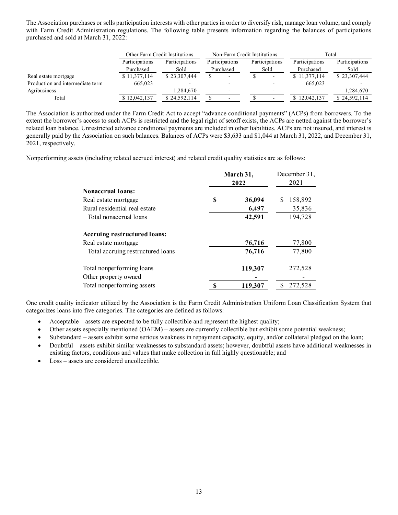| The Association purchases or sells participation interests with other parties in order to diversify risk, manage loan volume, and comply<br>with Farm Credit Administration regulations. The following table presents information regarding the balances of participations |                |                                                  |               |                                                |               |                        |                |                           |
|----------------------------------------------------------------------------------------------------------------------------------------------------------------------------------------------------------------------------------------------------------------------------|----------------|--------------------------------------------------|---------------|------------------------------------------------|---------------|------------------------|----------------|---------------------------|
| purchased and sold at March 31, 2022:                                                                                                                                                                                                                                      |                |                                                  |               |                                                |               |                        |                |                           |
|                                                                                                                                                                                                                                                                            |                |                                                  |               |                                                |               |                        |                |                           |
|                                                                                                                                                                                                                                                                            |                |                                                  |               |                                                |               |                        |                | Total                     |
|                                                                                                                                                                                                                                                                            | Participations | Other Farm Credit Institutions<br>Participations |               | Non-Farm Credit Institutions<br>Participations |               |                        | Participations | Participations            |
|                                                                                                                                                                                                                                                                            | Purchased      | Sold                                             |               | Purchased                                      |               | Participations<br>Sold | Purchased      | Sold                      |
|                                                                                                                                                                                                                                                                            | \$11,377,114   | \$23,307,444                                     | <sup>S</sup>  |                                                | <sup>\$</sup> |                        | \$11,377,114   | \$23,307,444              |
| Real estate mortgage<br>Production and intermediate term                                                                                                                                                                                                                   | 665,023        |                                                  |               |                                                |               |                        | 665,023        |                           |
|                                                                                                                                                                                                                                                                            |                | 1,284,670                                        |               |                                                |               |                        |                |                           |
| Agribusiness<br>Total                                                                                                                                                                                                                                                      | \$12,042,137   | \$24,592,114                                     | $\mathcal{S}$ |                                                |               |                        | \$12,042,137   | 1,284,670<br>\$24,592,114 |

The Association is authorized under the Farm Credit Act to accept "advance conditional payments" (ACPs) from borrowers. To the extent the borrower's access to such ACPs is restricted and the legal right of setoff exists, the ACPs are netted against the borrower's related loan balance. Unrestricted advance conditional payments are included in other liabilities. ACPs are not insured, and interest is generally paid by the Association on such balances. Balances of ACPs were \$3,633 and \$1,044 at March 31, 2022, and December 31, 2021, respectively.

Nonperforming assets (including related accrued interest) and related credit quality statistics are as follows:

|                                   | March 31,<br>2022 | December 31,<br>2021    |
|-----------------------------------|-------------------|-------------------------|
| <b>Nonaccrual loans:</b>          |                   |                         |
| Real estate mortgage              | \$<br>36,094      | 158,892<br><sup>S</sup> |
| Rural residential real estate     | 6,497             | 35,836                  |
| Total nonaccrual loans            | 42,591            | 194,728                 |
| Accruing restructured loans:      |                   |                         |
| Real estate mortgage              | 76,716            | 77,800                  |
| Total accruing restructured loans | 76,716            | 77,800                  |
| Total nonperforming loans         | 119,307           | 272,528                 |
| Other property owned              |                   |                         |
| Total nonperforming assets        | 119,307           | 272,528                 |

One credit quality indicator utilized by the Association is the Farm Credit Administration Uniform Loan Classification System that categorizes loans into five categories. The categories are defined as follows:

- Acceptable assets are expected to be fully collectible and represent the highest quality;
- Other assets especially mentioned (OAEM) assets are currently collectible but exhibit some potential weakness;
- Substandard assets exhibit some serious weakness in repayment capacity, equity, and/or collateral pledged on the loan;
- Doubtful assets exhibit similar weaknesses to substandard assets; however, doubtful assets have additional weaknesses in existing factors, conditions and values that make collection in full highly questionable; and
- Loss assets are considered uncollectible.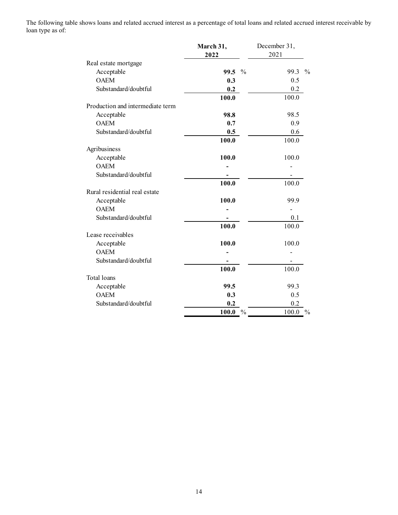The following table shows loans and related accrued interest as a percentage of total loans and related accrued interest receivable by loan type as of:

| March 31,        | December 31,                                                                                                                                                                                                     |
|------------------|------------------------------------------------------------------------------------------------------------------------------------------------------------------------------------------------------------------|
|                  | 2021                                                                                                                                                                                                             |
|                  | 99.3 %                                                                                                                                                                                                           |
|                  | 0.5                                                                                                                                                                                                              |
|                  | 0.2                                                                                                                                                                                                              |
|                  | 100.0                                                                                                                                                                                                            |
|                  |                                                                                                                                                                                                                  |
| 98.8             | 98.5                                                                                                                                                                                                             |
| 0.7              | 0.9                                                                                                                                                                                                              |
| 0.5              | 0.6                                                                                                                                                                                                              |
|                  | 100.0                                                                                                                                                                                                            |
|                  | 100.0                                                                                                                                                                                                            |
|                  |                                                                                                                                                                                                                  |
|                  | $\overline{\phantom{a}}$                                                                                                                                                                                         |
|                  | 100.0                                                                                                                                                                                                            |
|                  |                                                                                                                                                                                                                  |
| 100.0            | 99.9                                                                                                                                                                                                             |
|                  | $\overline{\phantom{a}}$                                                                                                                                                                                         |
|                  | 0.1                                                                                                                                                                                                              |
|                  | 100.0                                                                                                                                                                                                            |
|                  | 100.0                                                                                                                                                                                                            |
|                  |                                                                                                                                                                                                                  |
|                  |                                                                                                                                                                                                                  |
|                  | 100.0                                                                                                                                                                                                            |
|                  |                                                                                                                                                                                                                  |
| 99.5             | 99.3                                                                                                                                                                                                             |
| 0.3              | 0.5                                                                                                                                                                                                              |
| $0.2\,$          | $0.2\,$                                                                                                                                                                                                          |
| $100.0\degree$ % | $100.0\degree$ %                                                                                                                                                                                                 |
|                  | nows loans and related accrued interest as a percentage of total loans and related accrued interest receivable by<br>2022<br>99.5 %<br>0.3<br>0.2<br>100.0<br>100.0<br>100.0<br>100.0<br>100.0<br>100.0<br>100.0 |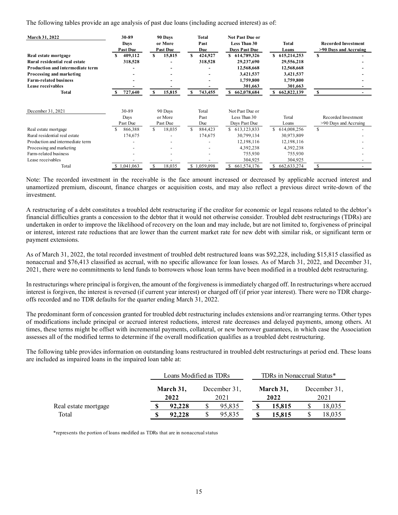| The following tables provide an age analysis of past due loans (including accrued interest) as of: |                          |                          |                                                      |                          |                          |                            |
|----------------------------------------------------------------------------------------------------|--------------------------|--------------------------|------------------------------------------------------|--------------------------|--------------------------|----------------------------|
|                                                                                                    |                          |                          |                                                      |                          |                          |                            |
| <b>March 31, 2022</b>                                                                              | 30-89                    | 90 Days                  | <b>Total</b>                                         | Not Past Due or          |                          |                            |
|                                                                                                    | Days                     | or More                  | Past                                                 | Less Than 30             | <b>Total</b>             | <b>Recorded Investment</b> |
|                                                                                                    | <b>Past Due</b>          | <b>Past Due</b>          | Due                                                  | Days Past Due            | Loans                    | >90 Days and Accruing      |
| Real estate mortgage                                                                               | 409,112<br>S.            | 15,815<br>S.             | S<br>424,927                                         | \$ 614,789,326           | \$ 615,214,253           | $\mathbf{s}$               |
| Rural residential real estate                                                                      | 318,528                  | $\blacksquare$           | 318,528                                              | 29,237,690               | 29,556,218               |                            |
| Production and intermediate term<br>Processing and marketing                                       | $\overline{\phantom{a}}$ | $\overline{\phantom{a}}$ | $\overline{\phantom{a}}$<br>$\overline{\phantom{0}}$ | 12,568,668<br>3,421,537  | 12,568,668<br>3,421,537  |                            |
|                                                                                                    |                          | $\overline{\phantom{a}}$ |                                                      | 1,759,800                | 1,759,800                |                            |
|                                                                                                    |                          |                          |                                                      |                          |                          |                            |
| <b>Farm-related business</b>                                                                       |                          |                          |                                                      |                          |                          |                            |
| Lease receivables                                                                                  |                          | $\overline{\phantom{a}}$ |                                                      | 301,663                  | 301,663                  | $\sim$                     |
| Total                                                                                              | \$727,640                | 15,815<br>S              | S<br>743,455                                         | \$662,078,684            | \$662,822,139            | -S                         |
|                                                                                                    |                          |                          |                                                      |                          |                          |                            |
| December 31, 2021                                                                                  | 30-89                    | 90 Days                  | Total                                                | Not Past Due or          |                          |                            |
|                                                                                                    | Days                     | or More                  | Past                                                 | Less Than 30             | Total                    | Recorded Investment        |
|                                                                                                    | Past Due                 | Past Due                 | Due                                                  | Days Past Due            | Loans                    | >90 Days and Accruing      |
| Real estate mortgage                                                                               | 866,388<br><sup>S</sup>  | <sup>\$</sup><br>18,035  | $\mathbb{S}$<br>884,423                              | \$ 613,123,833           | \$ 614,008,256           | \$                         |
| Rural residential real estate                                                                      | 174,675                  | $\overline{\phantom{a}}$ | 174,675                                              | 30,799,134               | 30,973,809               |                            |
| Production and intermediate term                                                                   | $\overline{\phantom{a}}$ | $\overline{\phantom{a}}$ | $\overline{\phantom{a}}$                             | 12,198,116               | 12,198,116               |                            |
| Processing and marketing                                                                           |                          |                          |                                                      | 4,392,238                | 4,392,238                |                            |
| Farm-related business                                                                              |                          |                          |                                                      | 755,930                  | 755,930                  |                            |
| Lease receivables<br>Total                                                                         | \$1,041,063              | $\mathcal{S}$<br>18,035  | \$1,059,098                                          | 304,925<br>\$661,574,176 | 304,925<br>\$662,633,274 | \$                         |

A restructuring of a debt constitutes a troubled debt restructuring if the creditor for economic or legal reasons related to the debtor's financial difficulties grants a concession to the debtor that it would not otherwise consider. Troubled debt restructurings (TDRs) are undertaken in order to improve the likelihood of recovery on the loan and may include, but are not limited to, forgiveness of principal or interest, interest rate reductions that are lower than the current market rate for new debt with similar risk, or significant term or payment extensions.

As of March 31, 2022, the total recorded investment of troubled debt restructured loans was \$92,228, including \$15,815 classified as nonaccrual and \$76,413 classified as accrual, with no specific allowance for loan losses. As of March 31, 2022, and December 31, 2021, there were no commitments to lend funds to borrowers whose loan terms have been modified in a troubled debt restructuring.

In restructurings where principal is forgiven, the amount of the forgiveness is immediately charged off. In restructurings where accrued interest is forgiven, the interest is reversed (if current year interest) or charged off (if prior year interest). There were no TDR chargeoffs recorded and no TDR defaults for the quarter ending March 31, 2022.

The predominant form of concession granted for troubled debt restructuring includes extensions and/or rearranging terms. Other types of modifications include principal or accrued interest reductions, interest rate decreases and delayed payments, among others. At times, these terms might be offset with incremental payments, collateral, or new borrower guarantees, in which case the Association assesses all of the modified terms to determine if the overall modification qualifies as a troubled debt restructuring.

The following table provides information on outstanding loans restructured in troubled debt restructurings at period end. These loans are included as impaired loans in the impaired loan table at:

|                      | Loans Modified as TDRs |                      |                   | TDRs in Nonaccrual Status* |                      |  |
|----------------------|------------------------|----------------------|-------------------|----------------------------|----------------------|--|
|                      | March 31,<br>2022      | December 31,<br>2021 | March 31,<br>2022 |                            | December 31,<br>2021 |  |
| Real estate mortgage | 92.228                 | 95,835               | 15.815            |                            | 18,035               |  |
| Total                | 92.228                 | 95,835               | 15.815            |                            | 18,035               |  |

\*represents the portion of loans modified as TDRs that are in nonaccrual status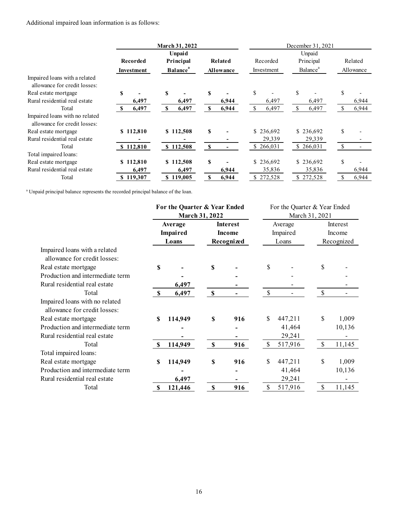| Additional impaired loan information is as follows:                                          |                                       |                               |               |                 |                       |                              |                      |              |           |
|----------------------------------------------------------------------------------------------|---------------------------------------|-------------------------------|---------------|-----------------|-----------------------|------------------------------|----------------------|--------------|-----------|
|                                                                                              |                                       |                               |               |                 |                       |                              |                      |              |           |
|                                                                                              |                                       |                               |               |                 |                       |                              |                      |              |           |
|                                                                                              |                                       | March 31, 2022                |               |                 |                       |                              | December 31, 2021    |              |           |
|                                                                                              |                                       | Unpaid                        |               |                 |                       |                              | Unpaid               |              |           |
|                                                                                              | <b>Recorded</b>                       | Principal                     |               | Related         | Recorded              |                              | Principal            |              | Related   |
|                                                                                              | Investment                            | <b>Balance</b> <sup>a</sup>   |               | Allowance       | Investment            |                              | Balance <sup>a</sup> |              | Allowance |
| Impaired loans with a related<br>allowance for credit losses:                                |                                       |                               |               |                 |                       |                              |                      |              |           |
| Real estate mortgage                                                                         | S<br>$\overline{\phantom{a}}$         | S<br>$\overline{\phantom{a}}$ | S             |                 | $\$$                  | $\$$                         |                      | \$           |           |
| Rural residential real estate                                                                | 6,497                                 | 6,497                         |               | 6,944           | 6,497                 |                              | 6,497                |              | 6,944     |
| Total                                                                                        | 6,497<br>$\mathbf{s}$                 | $\mathbf S$<br>6,497          | \$            | 6,944           | 6,497<br>$\mathbb{S}$ | $\mathbb{S}$                 | 6,497                | $\mathbb{S}$ | 6,944     |
| Impaired loans with no related                                                               |                                       |                               |               |                 |                       |                              |                      |              |           |
| allowance for credit losses:                                                                 |                                       |                               |               |                 |                       |                              |                      |              |           |
| Real estate mortgage                                                                         | \$112,810                             | \$112,508                     | S             |                 | \$236,692             |                              | \$236,692            | $\mathbb{S}$ |           |
| Rural residential real estate<br>Total                                                       | $\overline{\phantom{a}}$<br>\$112,810 | $\blacksquare$<br>\$112,508   |               |                 | 29,339<br>\$266,031   |                              | 29,339               |              |           |
| Total impaired loans:                                                                        |                                       |                               | <sup>\$</sup> | $\blacksquare$  |                       |                              | \$266,031            | $\sqrt{S}$   |           |
| Real estate mortgage                                                                         | \$112,810                             | \$112,508                     | S             |                 | \$236,692             |                              | \$236,692            | \$           |           |
| Rural residential real estate                                                                | 6,497                                 | 6,497                         |               | 6,944           | 35,836                |                              | 35,836               |              | 6,944     |
| Total                                                                                        | \$119,307                             | \$119,005                     | <sup>\$</sup> | 6,944           | \$272,528             |                              | \$272,528            | \$           | 6,944     |
|                                                                                              |                                       |                               |               |                 |                       |                              |                      |              |           |
| <sup>a</sup> Unpaid principal balance represents the recorded principal balance of the loan. |                                       |                               |               |                 |                       |                              |                      |              |           |
|                                                                                              |                                       | For the Quarter & Year Ended  |               |                 |                       | For the Quarter & Year Ended |                      |              |           |
|                                                                                              |                                       | <b>March 31, 2022</b>         |               |                 | March 31, 2021        |                              |                      |              |           |
|                                                                                              |                                       | Average                       |               | <b>Interest</b> | Average<br>Impaired   |                              |                      | Interest     |           |
|                                                                                              |                                       | Impaired                      |               | Income          |                       |                              | Income               |              |           |
|                                                                                              |                                       | Loans                         |               | Recognized      | Loans                 |                              |                      | Recognized   |           |
| Impaired loans with a related<br>allowance for credit losses:                                |                                       |                               |               |                 |                       |                              |                      |              |           |
|                                                                                              |                                       |                               |               |                 |                       |                              |                      |              |           |
| Real estate mortgage                                                                         |                                       | $\mathbb S$                   | \$            |                 | \$                    |                              | $\mathbb{S}$         |              |           |
| Production and intermediate term                                                             |                                       |                               |               |                 |                       |                              |                      |              |           |
| Rural residential real estate                                                                |                                       | 6.407                         |               |                 |                       |                              |                      |              |           |

|                                  |     |          | For the Quarter & Year Ended |                 |    | For the Quarter & Year Ended |                |            |  |  |
|----------------------------------|-----|----------|------------------------------|-----------------|----|------------------------------|----------------|------------|--|--|
|                                  |     |          | <b>March 31, 2022</b>        |                 |    |                              | March 31, 2021 |            |  |  |
|                                  |     | Average  |                              | <b>Interest</b> |    | Average                      | Interest       |            |  |  |
|                                  |     | Impaired |                              | Income          |    | Impaired                     |                | Income     |  |  |
|                                  |     | Loans    |                              | Recognized      |    | Loans                        |                | Recognized |  |  |
| Impaired loans with a related    |     |          |                              |                 |    |                              |                |            |  |  |
| allowance for credit losses:     |     |          |                              |                 |    |                              |                |            |  |  |
| Real estate mortgage             | \$  |          | \$                           |                 | \$ |                              | \$             |            |  |  |
| Production and intermediate term |     |          |                              |                 |    |                              |                |            |  |  |
| Rural residential real estate    |     | 6,497    |                              |                 |    |                              |                |            |  |  |
| Total                            |     | 6,497    | S                            |                 |    |                              |                |            |  |  |
| Impaired loans with no related   |     |          |                              |                 |    |                              |                |            |  |  |
| allowance for credit losses:     |     |          |                              |                 |    |                              |                |            |  |  |
| Real estate mortgage             | S   | 114,949  | \$                           | 916             | \$ | 447,211                      | \$             | 1,009      |  |  |
| Production and intermediate term |     |          |                              |                 |    | 41,464                       |                | 10,136     |  |  |
| Rural residential real estate    |     |          |                              |                 |    | 29,241                       |                |            |  |  |
| Total                            | -SS | 114,949  | \$                           | 916             | \$ | 517,916                      | <sup>\$</sup>  | 11,145     |  |  |
| Total impaired loans:            |     |          |                              |                 |    |                              |                |            |  |  |
| Real estate mortgage             | \$  | 114,949  | \$                           | 916             | \$ | 447,211                      | \$             | 1,009      |  |  |
| Production and intermediate term |     |          |                              |                 |    | 41,464                       |                | 10,136     |  |  |
| Rural residential real estate    |     | 6,497    |                              |                 |    | 29,241                       |                |            |  |  |
| Total                            | S   | 121,446  | \$                           | 916             | \$ | 517,916                      | \$             | 11,145     |  |  |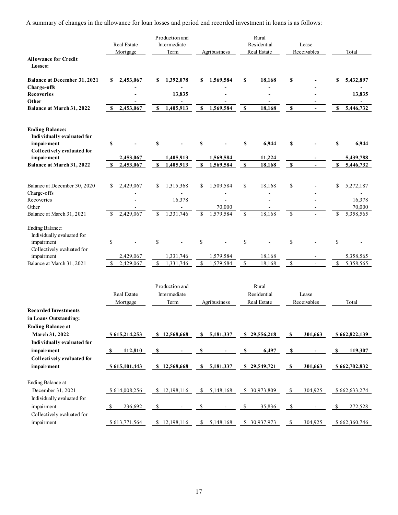| A summary of changes in the allowance for loan losses and period end recorded investment in loans is as follows: |                                        |                                         |                                |                                                      |                                     |                                   |
|------------------------------------------------------------------------------------------------------------------|----------------------------------------|-----------------------------------------|--------------------------------|------------------------------------------------------|-------------------------------------|-----------------------------------|
|                                                                                                                  |                                        |                                         |                                |                                                      |                                     |                                   |
|                                                                                                                  |                                        |                                         |                                |                                                      |                                     |                                   |
|                                                                                                                  |                                        | Production and                          |                                | Rural                                                |                                     |                                   |
|                                                                                                                  | Real Estate                            | Intermediate                            |                                | Residential                                          | Lease                               |                                   |
| <b>Allowance for Credit</b>                                                                                      | Mortgage                               | Term                                    | Agribusiness                   | Real Estate                                          | Receivables                         | Total                             |
| Losses:                                                                                                          |                                        |                                         |                                |                                                      |                                     |                                   |
| <b>Balance at December 31, 2021</b><br><b>Charge-offs</b>                                                        | \$2,453,067                            | \$1,392,078<br>$\overline{\phantom{a}}$ | \$1,569,584                    | 18,168<br>-S<br>$\blacksquare$                       | <b>S</b>                            | 5,432,897<br>S.<br>$\blacksquare$ |
| Recoveries<br>Other                                                                                              | $\overline{\phantom{a}}$               | 13,835                                  | $\overline{\phantom{a}}$       | $\overline{\phantom{a}}$                             |                                     | 13,835                            |
| Balance at March 31, 2022                                                                                        | \$2,453,067                            | \$1,405,913                             | \$1,569,584                    | 18,168<br>$\mathbb{S}$                               | $\mathbf{s}$<br>$\sim$              | \$5,446,732                       |
| <b>Ending Balance:</b>                                                                                           |                                        |                                         |                                |                                                      |                                     |                                   |
| Individually evaluated for<br>impairment                                                                         | $\mathbf S$                            |                                         | S                              | 6,944<br><b>S</b>                                    | S                                   | 6,944<br>-S                       |
| Collectively evaluated for                                                                                       |                                        |                                         |                                |                                                      |                                     |                                   |
| impairment<br>Balance at March 31, 2022                                                                          | 2,453,067<br>2,453,067<br>$\mathbb{S}$ | 1,405,913<br>1,405,913<br>$\mathbf{s}$  | 1,569,584<br>\$1,569,584       | 11,224<br>$\mathbf{s}$<br>18,168                     | $\mathbf{s}$<br>$\blacksquare$      | 5,439,788<br>\$5,446,732          |
| Balance at December 30, 2020                                                                                     | \$2,429,067                            | \$1,315,368                             | \$1,509,584                    | <sup>\$</sup><br>18,168                              | $\boldsymbol{\mathsf{S}}$<br>$\sim$ | \$5,272,187                       |
| Charge-offs                                                                                                      |                                        | $\sim$                                  | $\overline{\phantom{a}}$       | $\blacksquare$                                       |                                     | $\sim$                            |
| Recoveries<br>Other                                                                                              | $\overline{\phantom{a}}$               | 16,378                                  | $\sim$<br>70,000               | $\overline{\phantom{a}}$<br>$\overline{\phantom{a}}$ |                                     | 16,378<br>70,000                  |
| Balance at March 31, 2021                                                                                        | $\mathbb{S}$<br>2,429,067              | 1,331,746<br>$\mathbb{S}$               | \$1,579,584                    | 18,168<br>$\mathbb{S}$                               | $\mathcal{S}$<br>$\sim$             | \$5,358,565                       |
| Ending Balance:<br>Individually evaluated for                                                                    |                                        |                                         |                                |                                                      |                                     |                                   |
| impairment                                                                                                       | $\mathbb S$                            | $\mathbb{S}$                            | $\mathbb S$                    | $\mathbb{S}$                                         | $\mathbb{S}$                        | \$                                |
| Collectively evaluated for<br>impairment                                                                         | 2,429,067                              | 1,331,746                               | 1,579,584                      | 18,168                                               |                                     | 5,358,565                         |
| Balance at March 31, 2021                                                                                        | \$2,429,067                            | $\mathbb{S}$<br>1,331,746               | \$1,579,584                    | 18,168<br>$\mathcal{S}$                              | $\mathbb{S}$<br>$\sim$              | \$5,358,565                       |
|                                                                                                                  |                                        | Production and                          |                                | Rural                                                |                                     |                                   |
|                                                                                                                  | Real Estate<br>Mortgage                | Intermediate<br>$\mathrm{Term}$         | Agribusiness                   | Residential<br>Real Estate                           | Lease<br>Receivables                | Total                             |
| <b>Recorded Investments</b><br>in Loans Outstanding:                                                             |                                        |                                         |                                |                                                      |                                     |                                   |
| <b>Ending Balance at</b><br>March 31, 2022                                                                       | \$615,214,253                          | \$12,568,668                            | $S$ 5,181,337                  | \$29,556,218                                         | 301,663<br><b>S</b>                 | \$662,822,139                     |
| Individually evaluated for<br>impairment                                                                         | 112,810<br>$\mathbf{s}$                | <b>S</b>                                | -S<br>$\overline{\phantom{a}}$ | 6,497<br>-S                                          | - S<br>$\blacksquare$               | S<br>119,307                      |
| Collectively evaluated for<br>impairment                                                                         | \$615,101,443                          | \$12,568,668                            | \$5,181,337                    | \$29,549,721                                         | 301,663<br><b>S</b>                 | \$662,702,832                     |
| Ending Balance at                                                                                                |                                        |                                         |                                |                                                      |                                     |                                   |
| December 31, 2021                                                                                                | \$614,008,256                          | \$12,198,116                            | \$5,148,168                    | \$ 30,973,809                                        | 304,925<br><sup>\$</sup>            | \$662,633,274                     |
| Individually evaluated for<br>impairment                                                                         | 236,692<br>-S                          | - \$                                    |                                | 35,836<br>-S                                         | -\$<br>$\sim$                       | 272,528<br>\$                     |
| Collectively evaluated for                                                                                       | \$613,771,564                          | \$12,198,116                            |                                |                                                      |                                     |                                   |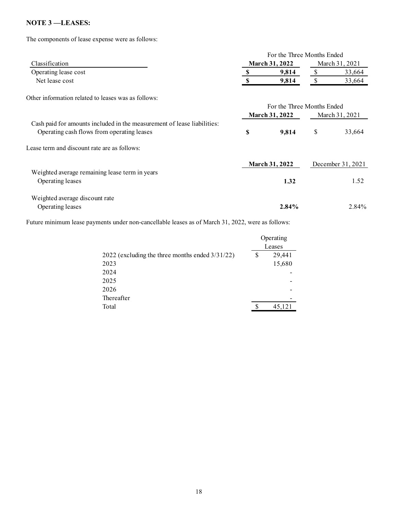## NOTE 3-LEASES:

The components of lease expense were as follows:

|                                                                                                                       |                                                                                                   |                                 | For the Three Months Ended |              |                   |
|-----------------------------------------------------------------------------------------------------------------------|---------------------------------------------------------------------------------------------------|---------------------------------|----------------------------|--------------|-------------------|
| Classification                                                                                                        |                                                                                                   |                                 | March 31, 2022             |              | March 31, 2021    |
| Operating lease cost                                                                                                  |                                                                                                   | $\frac{\mathbf{s}}{\mathbf{s}}$ | 9,814                      | $\mathbb{S}$ | 33,664            |
| Net lease cost                                                                                                        |                                                                                                   | $\mathbf S$                     | 9,814                      | $\mathbb{S}$ | 33,664            |
| Other information related to leases was as follows:                                                                   |                                                                                                   |                                 |                            |              |                   |
|                                                                                                                       |                                                                                                   |                                 | For the Three Months Ended |              |                   |
|                                                                                                                       |                                                                                                   |                                 | <b>March 31, 2022</b>      |              | March 31, 2021    |
| Cash paid for amounts included in the measurement of lease liabilities:<br>Operating cash flows from operating leases |                                                                                                   | $\mathbb S$                     | 9,814                      | $\mathbb S$  | 33,664            |
| Lease term and discount rate are as follows:                                                                          |                                                                                                   |                                 |                            |              |                   |
|                                                                                                                       |                                                                                                   |                                 | <b>March 31, 2022</b>      |              | December 31, 2021 |
| Weighted average remaining lease term in years<br>Operating leases                                                    |                                                                                                   |                                 | 1.32                       |              | 1.52              |
| Weighted average discount rate                                                                                        |                                                                                                   |                                 |                            |              |                   |
| Operating leases                                                                                                      |                                                                                                   |                                 | 2.84%                      |              | 2.84%             |
|                                                                                                                       | Future minimum lease payments under non-cancellable leases as of March 31, 2022, were as follows: |                                 |                            |              |                   |
|                                                                                                                       |                                                                                                   |                                 | Operating<br>Leases        |              |                   |
|                                                                                                                       | 2022 (excluding the three months ended 3/31/22)                                                   | $\mathbb{S}$                    | 29,441                     |              |                   |
| 2023                                                                                                                  |                                                                                                   |                                 | 15,680                     |              |                   |
| 2024                                                                                                                  |                                                                                                   |                                 |                            |              |                   |
| 2025                                                                                                                  |                                                                                                   |                                 |                            |              |                   |
| 2026                                                                                                                  |                                                                                                   |                                 |                            |              |                   |
| Thereafter                                                                                                            |                                                                                                   |                                 |                            |              |                   |
| Total                                                                                                                 |                                                                                                   | <sup>\$</sup>                   | 45,121                     |              |                   |
|                                                                                                                       |                                                                                                   |                                 |                            |              |                   |
|                                                                                                                       |                                                                                                   |                                 |                            |              |                   |
|                                                                                                                       |                                                                                                   |                                 |                            |              |                   |
|                                                                                                                       |                                                                                                   |                                 |                            |              |                   |

|                                                    |   | Operating |
|----------------------------------------------------|---|-----------|
|                                                    |   | Leases    |
| 2022 (excluding the three months ended $3/31/22$ ) | S | 29,441    |
| 2023                                               |   | 15,680    |
| 2024                                               |   |           |
| 2025                                               |   | -         |
| 2026                                               |   | -         |
| Thereafter                                         |   | -         |
| Total                                              | S | 45,121    |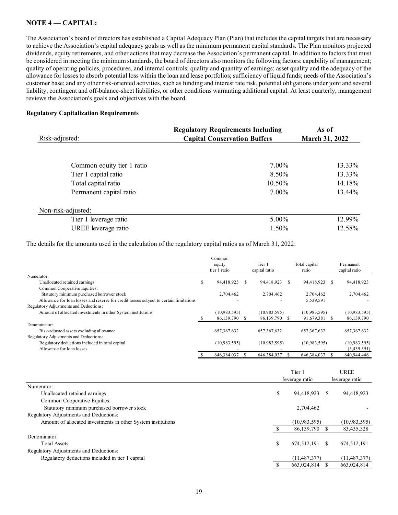## NOTE 4 – CAPITAL:

The Association's board of directors has established a Capital Adequacy Plan (Plan) that includes the capital targets that are necessary to achieve the Association's capital adequacy goals as well as the minimum permanent capital standards. The Plan monitors projected dividends, equity retirements, and other actions that may decrease the Association's permanent capital. In addition to factors that must be considered in meeting the minimum standards, the board of directors also monitors the following factors: capability of management; quality of operating policies, procedures, and internal controls; quality and quantity of earnings; asset quality and the adequacy of the allowance for losses to absorb potential loss within the loan and lease portfolios; sufficiency of liquid funds; needs of the Association's customer base; and any other risk-oriented activities, such as funding and interest rate risk, potential obligations under joint and several liability, contingent and off-balance-sheet liabilities, or other conditions warranting additional capital. At least quarterly, management reviews the Association's goals and objectives with the board. pital Adequacy Plan (Plan) that includes the capital targets that are necessary<br>
explicit as the minimum permanent capital standards. The Plan monitors projected<br>
decrease the Association's permanent capital. In addition t **EE 4 — CAPITAL:**<br>
Association's board of directors has established a Capital Adequacy Plan (Plan) that includes the capital targets that are necessary<br>
hierothe Association's capital adequacy goals as well as the minimum

## Regulatory Capitalization Requirements

| NOTE 4 — CAPITAL:                                                                                                                                                                                                                                                                                                                                                                                                                                                                                                                                                                                                                                                                                                                                                                                                                                                                                                                                                                                                                                                                                                                                                                                                              |    |                                                                                 |                               |                               |                            |
|--------------------------------------------------------------------------------------------------------------------------------------------------------------------------------------------------------------------------------------------------------------------------------------------------------------------------------------------------------------------------------------------------------------------------------------------------------------------------------------------------------------------------------------------------------------------------------------------------------------------------------------------------------------------------------------------------------------------------------------------------------------------------------------------------------------------------------------------------------------------------------------------------------------------------------------------------------------------------------------------------------------------------------------------------------------------------------------------------------------------------------------------------------------------------------------------------------------------------------|----|---------------------------------------------------------------------------------|-------------------------------|-------------------------------|----------------------------|
| The Association's board of directors has established a Capital Adequacy Plan (Plan) that includes the capital targets that are necessary<br>o achieve the Association's capital adequacy goals as well as the minimum permanent capital standards. The Plan monitors projected<br>dividends, equity retirements, and other actions that may decrease the Association's permanent capital. In addition to factors that must<br>be considered in meeting the minimum standards, the board of directors also monitors the following factors: capability of management;<br>quality of operating policies, procedures, and internal controls; quality and quantity of earnings; asset quality and the adequacy of the<br>allowance for losses to absorb potential loss within the loan and lease portfolios; sufficiency of liquid funds; needs of the Association's<br>customer base; and any other risk-oriented activities, such as funding and interest rate risk, potential obligations under joint and several<br>iability, contingent and off-balance-sheet liabilities, or other conditions warranting additional capital. At least quarterly, management<br>reviews the Association's goals and objectives with the board. |    |                                                                                 |                               |                               |                            |
| <b>Regulatory Capitalization Requirements</b>                                                                                                                                                                                                                                                                                                                                                                                                                                                                                                                                                                                                                                                                                                                                                                                                                                                                                                                                                                                                                                                                                                                                                                                  |    |                                                                                 |                               |                               |                            |
| Risk-adjusted:                                                                                                                                                                                                                                                                                                                                                                                                                                                                                                                                                                                                                                                                                                                                                                                                                                                                                                                                                                                                                                                                                                                                                                                                                 |    | <b>Regulatory Requirements Including</b><br><b>Capital Conservation Buffers</b> |                               | As of<br>March 31, 2022       |                            |
| Common equity tier 1 ratio                                                                                                                                                                                                                                                                                                                                                                                                                                                                                                                                                                                                                                                                                                                                                                                                                                                                                                                                                                                                                                                                                                                                                                                                     |    |                                                                                 | 7.00%                         |                               | 13.33%                     |
| Tier 1 capital ratio                                                                                                                                                                                                                                                                                                                                                                                                                                                                                                                                                                                                                                                                                                                                                                                                                                                                                                                                                                                                                                                                                                                                                                                                           |    |                                                                                 | 8.50%                         |                               | 13.33%                     |
| Total capital ratio                                                                                                                                                                                                                                                                                                                                                                                                                                                                                                                                                                                                                                                                                                                                                                                                                                                                                                                                                                                                                                                                                                                                                                                                            |    |                                                                                 | 10.50%                        |                               | 14.18%                     |
| Permanent capital ratio                                                                                                                                                                                                                                                                                                                                                                                                                                                                                                                                                                                                                                                                                                                                                                                                                                                                                                                                                                                                                                                                                                                                                                                                        |    |                                                                                 | 7.00%                         |                               | 13.44%                     |
| Non-risk-adjusted:                                                                                                                                                                                                                                                                                                                                                                                                                                                                                                                                                                                                                                                                                                                                                                                                                                                                                                                                                                                                                                                                                                                                                                                                             |    |                                                                                 |                               |                               |                            |
| Tier 1 leverage ratio                                                                                                                                                                                                                                                                                                                                                                                                                                                                                                                                                                                                                                                                                                                                                                                                                                                                                                                                                                                                                                                                                                                                                                                                          |    |                                                                                 | 5.00%                         |                               | 12.99%                     |
| UREE leverage ratio                                                                                                                                                                                                                                                                                                                                                                                                                                                                                                                                                                                                                                                                                                                                                                                                                                                                                                                                                                                                                                                                                                                                                                                                            |    |                                                                                 | 1.50%                         |                               | 12.58%                     |
| The details for the amounts used in the calculation of the regulatory capital ratios as of March 31, 2022:                                                                                                                                                                                                                                                                                                                                                                                                                                                                                                                                                                                                                                                                                                                                                                                                                                                                                                                                                                                                                                                                                                                     |    |                                                                                 |                               |                               |                            |
|                                                                                                                                                                                                                                                                                                                                                                                                                                                                                                                                                                                                                                                                                                                                                                                                                                                                                                                                                                                                                                                                                                                                                                                                                                |    | Common<br>equity<br>tier 1 ratio                                                | Tier 1<br>capital ratio       | Total capital<br>ratio        | Permanent<br>capital ratio |
| Numerator:<br>Unallocated retained earnings                                                                                                                                                                                                                                                                                                                                                                                                                                                                                                                                                                                                                                                                                                                                                                                                                                                                                                                                                                                                                                                                                                                                                                                    | S  | 94,418,923 \$                                                                   | 94,418,923 \$                 | 94,418,923 \$                 | 94,418,923                 |
| Common Cooperative Equities:<br>Statutory minimum purchased borrower stock<br>Allowance for loan losses and reserve for credit losses subject to certain limitations<br>Regulatory Adjustments and Deductions:                                                                                                                                                                                                                                                                                                                                                                                                                                                                                                                                                                                                                                                                                                                                                                                                                                                                                                                                                                                                                 |    | 2,704,462                                                                       | 2,704,462                     | 2,704,462<br>5,539,591        | 2,704,462                  |
| Amount of allocated investments in other System institutions                                                                                                                                                                                                                                                                                                                                                                                                                                                                                                                                                                                                                                                                                                                                                                                                                                                                                                                                                                                                                                                                                                                                                                   | \$ | (10,983,595)<br>86,139,790 \$                                                   | (10,983,595)<br>86,139,790 \$ | (10,983,595)<br>91,679,381 \$ | (10,983,595)<br>86,139,790 |
| Denominator:                                                                                                                                                                                                                                                                                                                                                                                                                                                                                                                                                                                                                                                                                                                                                                                                                                                                                                                                                                                                                                                                                                                                                                                                                   |    |                                                                                 |                               |                               |                            |
| Risk-adjusted assets excluding allowance<br>Regulatory Adjustments and Deductions:                                                                                                                                                                                                                                                                                                                                                                                                                                                                                                                                                                                                                                                                                                                                                                                                                                                                                                                                                                                                                                                                                                                                             |    | 657, 367, 632                                                                   | 657, 367, 632                 | 657, 367, 632                 | 657, 367, 632              |
| Requisions deductions included in total capital                                                                                                                                                                                                                                                                                                                                                                                                                                                                                                                                                                                                                                                                                                                                                                                                                                                                                                                                                                                                                                                                                                                                                                                |    | (10.983.595)                                                                    | (10.083.505)                  | (10.983.595)                  | (10.983.595)               |

| Common equity tier 1 ratio                                                                                 |              |                                  | 7.00%                   |      |                              |              | 13.33%                                                                                               |
|------------------------------------------------------------------------------------------------------------|--------------|----------------------------------|-------------------------|------|------------------------------|--------------|------------------------------------------------------------------------------------------------------|
| Tier 1 capital ratio                                                                                       |              |                                  | 8.50%                   |      |                              |              | 13.33%                                                                                               |
|                                                                                                            |              |                                  |                         |      |                              |              |                                                                                                      |
| Total capital ratio                                                                                        |              |                                  | 10.50%                  |      |                              |              | 14.18%                                                                                               |
| Permanent capital ratio                                                                                    |              |                                  | 7.00%                   |      |                              |              | 13.44%                                                                                               |
| Non-risk-adjusted:                                                                                         |              |                                  |                         |      |                              |              |                                                                                                      |
| Tier 1 leverage ratio                                                                                      |              |                                  | 5.00%                   |      |                              |              | 12.99%                                                                                               |
| UREE leverage ratio                                                                                        |              |                                  | 1.50%                   |      |                              |              | 12.58%                                                                                               |
| The details for the amounts used in the calculation of the regulatory capital ratios as of March 31, 2022: |              |                                  |                         |      |                              |              |                                                                                                      |
|                                                                                                            |              | Common<br>equity<br>tier 1 ratio | Tier 1<br>capital ratio |      | Total capital<br>ratio       |              | Permanent<br>capital ratio                                                                           |
| Numerator:                                                                                                 |              |                                  |                         |      |                              |              |                                                                                                      |
| Unallocated retained earnings                                                                              | S            | 94,418,923 \$                    | 94,418,923 \$           |      | 94,418,923 \$                |              | 94,418,923                                                                                           |
| Common Cooperative Equities:<br>Statutory minimum purchased borrower stock                                 |              | 2,704,462                        | 2,704,462               |      | 2,704,462                    |              | 2,704,462                                                                                            |
| Allowance for loan losses and reserve for credit losses subject to certain limitations                     |              |                                  |                         |      | 5,539,591                    |              |                                                                                                      |
| Regulatory Adjustments and Deductions:                                                                     |              |                                  |                         |      |                              |              |                                                                                                      |
| Amount of allocated investments in other System institutions                                               |              | (10,983,595)                     | (10,983,595)            |      | (10,983,595)                 |              | (10,983,595)                                                                                         |
|                                                                                                            | <sup>S</sup> | 86,139,790 \$                    | 86,139,790              | - S  | 91,679,381 \$                |              | 86,139,790                                                                                           |
| Denominator:                                                                                               |              |                                  |                         |      |                              |              |                                                                                                      |
| Risk-adjusted assets excluding allowance                                                                   |              | 657, 367, 632                    | 657, 367, 632           |      | 657, 367, 632                |              | 657, 367, 632                                                                                        |
| Regulatory Adjustments and Deductions:<br>Regulatory deductions included in total capital                  |              | (10,983,595)                     | (10,983,595)            |      | (10,983,595)                 |              | (10,983,595)                                                                                         |
| Allowance for loan losses                                                                                  |              |                                  |                         |      |                              |              | (5,439,591)                                                                                          |
|                                                                                                            |              | 646,384,037<br>- \$              | 646,384,037             | - \$ | 646,384,037                  | $\mathbf{s}$ | 640,944,446                                                                                          |
|                                                                                                            |              |                                  |                         |      |                              |              |                                                                                                      |
|                                                                                                            |              |                                  |                         |      | Tier 1                       |              | <b>UREE</b>                                                                                          |
|                                                                                                            |              |                                  |                         |      | leverage ratio               |              | leverage ratio                                                                                       |
| Numerator:                                                                                                 |              |                                  |                         |      |                              |              |                                                                                                      |
| Unallocated retained earnings                                                                              |              |                                  | S                       |      | 94,418,923 \$                |              | 94,418,923                                                                                           |
| Common Cooperative Equities:                                                                               |              |                                  |                         |      |                              |              |                                                                                                      |
| Statutory minimum purchased borrower stock                                                                 |              |                                  |                         |      | 2,704,462                    |              |                                                                                                      |
| Regulatory Adjustments and Deductions:                                                                     |              |                                  |                         |      |                              |              |                                                                                                      |
| Amount of allocated investments in other System institutions                                               |              |                                  |                         |      | (10,983,595)                 |              | (10,983,595)                                                                                         |
|                                                                                                            |              |                                  | <sup>S</sup>            |      | 86,139,790 \$                |              | 83,435,328                                                                                           |
| Denominator:                                                                                               |              |                                  |                         |      |                              |              |                                                                                                      |
|                                                                                                            |              |                                  | -S                      |      | 674,512,191 \$               |              | 674,512,191                                                                                          |
| Total Assets                                                                                               |              |                                  |                         |      |                              |              |                                                                                                      |
| Regulatory Adjustments and Deductions:                                                                     |              |                                  |                         |      |                              |              |                                                                                                      |
| Regulatory deductions included in tier 1 capital                                                           |              |                                  | $\mathbf{C}$            |      | (11, 487, 377)<br>6620240148 |              | (11, 487, 377)<br>$\epsilon$ $\epsilon$ $\gamma$ $\alpha$ $\gamma$ $\alpha$ $\beta$ $\gamma$ $\beta$ |
|                                                                                                            |              |                                  |                         |      |                              |              |                                                                                                      |

| Numerator:                                                                             |              |                  |                |                |                  |                |
|----------------------------------------------------------------------------------------|--------------|------------------|----------------|----------------|------------------|----------------|
| Unallocated retained earnings                                                          | S            | 94,418,923 \$    | 94,418,923 \$  |                | 94,418,923 \$    | 94,418,923     |
| Common Cooperative Equities:                                                           |              |                  |                |                |                  |                |
| Statutory minimum purchased borrower stock                                             |              | 2,704,462        | 2,704,462      |                | 2,704,462        | 2,704,462      |
| Allowance for loan losses and reserve for credit losses subject to certain limitations |              |                  |                |                | 5,539,591        |                |
| Regulatory Adjustments and Deductions:                                                 |              |                  |                |                |                  |                |
| Amount of allocated investments in other System institutions                           |              | (10.983, 595)    | (10,983,595)   |                | (10,983,595)     | (10,983,595)   |
|                                                                                        | <sup>S</sup> | 86,139,790 \$    | 86,139,790 \$  |                | 91,679,381 \$    | 86,139,790     |
| Denominator:<br>Risk-adjusted assets excluding allowance                               |              | 657, 367, 632    | 657,367,632    |                | 657, 367, 632    | 657,367,632    |
| Regulatory Adjustments and Deductions:                                                 |              |                  |                |                |                  |                |
| Regulatory deductions included in total capital                                        |              | (10,983,595)     | (10,983,595)   |                | (10,983,595)     | (10,983,595)   |
| Allowance for loan losses                                                              |              |                  |                |                |                  | (5,439,591)    |
|                                                                                        |              | 646, 384, 037 \$ | 646,384,037 \$ |                | 646,384,037 \$   | 640,944,446    |
|                                                                                        |              |                  |                |                |                  |                |
|                                                                                        |              |                  |                |                |                  |                |
|                                                                                        |              |                  |                | Tier 1         |                  | <b>UREE</b>    |
|                                                                                        |              |                  |                | leverage ratio |                  | leverage ratio |
| Numerator:                                                                             |              |                  |                |                |                  |                |
| Unallocated retained earnings                                                          |              |                  | \$             |                | 94,418,923<br>-S | 94,418,923     |
| Common Cooperative Equities:                                                           |              |                  |                |                |                  |                |
| Statutory minimum purchased borrower stock                                             |              |                  |                |                | 2,704,462        |                |
| Regulatory Adjustments and Deductions:                                                 |              |                  |                |                |                  |                |
| Amount of allocated investments in other System institutions                           |              |                  |                |                | (10,983,595)     | (10,983,595)   |
|                                                                                        |              |                  |                |                | 86,139,790 \$    | 83,435,328     |
| Denominator:                                                                           |              |                  |                |                |                  |                |
| <b>Total Assets</b>                                                                    |              |                  | \$             |                | 674,512,191 \$   | 674,512,191    |
|                                                                                        |              |                  |                |                |                  |                |
| Regulatory Adjustments and Deductions:                                                 |              |                  |                |                |                  |                |
| Regulatory deductions included in tier 1 capital                                       |              |                  |                |                | (11, 487, 377)   | (11, 487, 377) |
|                                                                                        |              |                  | <sup>\$</sup>  |                | 663,024,814 \$   | 663,024,814    |
|                                                                                        |              |                  |                |                |                  |                |
|                                                                                        |              |                  |                |                |                  |                |
|                                                                                        |              |                  |                |                |                  |                |
|                                                                                        | 19           |                  |                |                |                  |                |
|                                                                                        |              |                  |                |                |                  |                |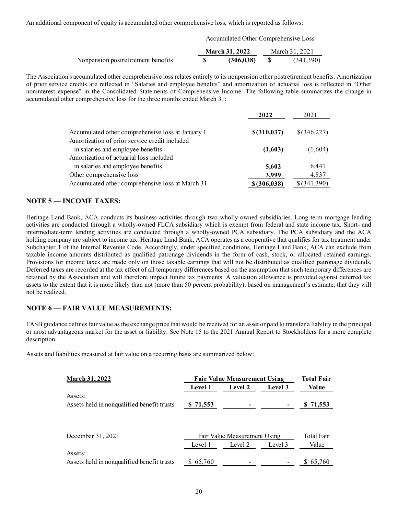An additional component of equity is accumulated other comprehensive loss, which is reported as follows:

Accumulated Other Comprehensive Loss

|                                    | <b>March 31, 2022</b> | March 31, 2021 |
|------------------------------------|-----------------------|----------------|
| Nonpension postretirement benefits | (306, 038)            | (341,390)      |

The Association's accumulated other comprehensive loss relates entirely to its nonpension other postretirement benefits. Amortization of prior service credits are reflected in "Salaries and employee benefits" and amortization of actuarial loss is reflected in "Other noninterest expense" in the Consolidated Statements of Comprehensive Income. The following table summarizes the change in accumulated other comprehensive loss for the three months ended March 31:

| 2022          | 2021            |
|---------------|-----------------|
| \$(310, 037)  | \$(346,227)     |
|               |                 |
| (1,603)       | (1,604)         |
|               |                 |
| 5,602         | 6,441           |
| 3,999         | 4,837           |
| \$ (306, 038) | $$$ $(341,390)$ |
|               |                 |

## NOTE 5 — INCOME TAXES:

Heritage Land Bank, ACA conducts its business activities through two wholly-owned subsidiaries. Long-term mortgage lending activities are conducted through a wholly-owned FLCA subsidiary which is exempt from federal and state income tax. Short- and intermediate-term lending activities are conducted through a wholly-owned PCA subsidiary. The PCA subsidiary and the ACA holding company are subject to income tax. Heritage Land Bank, ACA operates as a cooperative that qualifies for tax treatment under Subchapter T of the Internal Revenue Code. Accordingly, under specified conditions, Heritage Land Bank, ACA can exclude from taxable income amounts distributed as qualified patronage dividends in the form of cash, stock, or allocated retained earnings. Provisions for income taxes are made only on those taxable earnings that will not be distributed as qualified patronage dividends. Deferred taxes are recorded at the tax effect of all temporary differences based on the assumption that such temporary differences are retained by the Association and will therefore impact future tax payments. A valuation allowance is provided against deferred tax assets to the extent that it is more likely than not (more than 50 percent probability), based on management's estimate, that they will not be realized.

## NOTE 6 — FAIR VALUE MEASUREMENTS:

FASB guidance defines fair value as the exchange price that would be received for an asset or paid to transfer a liability in the principal or most advantageous market for the asset or liability. See Note 15 to the 2021 Annual Report to Stockholders for a more complete description.

Assets and liabilities measured at fair value on a recurring basis are summarized below:

| <b>March 31, 2022</b>                      |                              | <b>Fair Value Measurement Using</b> |         | <b>Total Fair</b> |
|--------------------------------------------|------------------------------|-------------------------------------|---------|-------------------|
|                                            | <b>Level 1</b>               | Level 2                             | Level 3 | Value             |
| Assets:                                    |                              |                                     |         |                   |
| Assets held in nonqualified benefit trusts | \$ 71,553                    |                                     |         | \$71,553          |
|                                            |                              |                                     |         |                   |
| December 31, 2021                          | Fair Value Measurement Using | <b>Total Fair</b>                   |         |                   |
|                                            | Level 1                      | Level 2                             | Level 3 | Value             |
| Assets:                                    |                              |                                     |         |                   |
| Assets held in nonqualified benefit trusts | \$65,760                     |                                     |         | \$65,760          |
|                                            |                              |                                     |         |                   |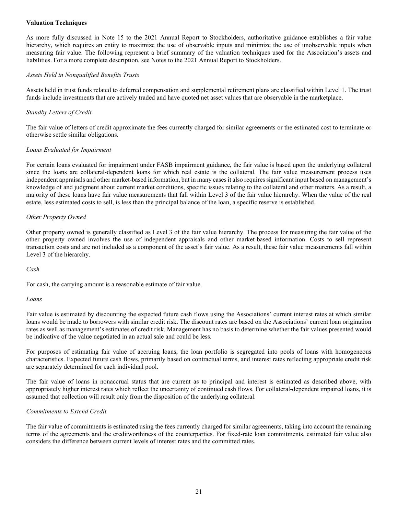## Valuation Techniques

As more fully discussed in Note 15 to the 2021 Annual Report to Stockholders, authoritative guidance establishes a fair value hierarchy, which requires an entity to maximize the use of observable inputs and minimize the use of unobservable inputs when measuring fair value. The following represent a brief summary of the valuation techniques used for the Association's assets and liabilities. For a more complete description, see Notes to the 2021 Annual Report to Stockholders.

#### Assets Held in Nonqualified Benefits Trusts

Assets held in trust funds related to deferred compensation and supplemental retirement plans are classified within Level 1. The trust funds include investments that are actively traded and have quoted net asset values that are observable in the marketplace.

## Standby Letters of Credit

The fair value of letters of credit approximate the fees currently charged for similar agreements or the estimated cost to terminate or otherwise settle similar obligations.

#### Loans Evaluated for Impairment

For certain loans evaluated for impairment under FASB impairment guidance, the fair value is based upon the underlying collateral since the loans are collateral-dependent loans for which real estate is the collateral. The fair value measurement process uses independent appraisals and other market-based information, but in many cases it also requires significant input based on management's knowledge of and judgment about current market conditions, specific issues relating to the collateral and other matters. As a result, a majority of these loans have fair value measurements that fall within Level 3 of the fair value hierarchy. When the value of the real estate, less estimated costs to sell, is less than the principal balance of the loan, a specific reserve is established.

#### Other Property Owned

Other property owned is generally classified as Level 3 of the fair value hierarchy. The process for measuring the fair value of the other property owned involves the use of independent appraisals and other market-based information. Costs to sell represent transaction costs and are not included as a component of the asset's fair value. As a result, these fair value measurements fall within Level 3 of the hierarchy.

#### Cash

For cash, the carrying amount is a reasonable estimate of fair value.

#### Loans

Fair value is estimated by discounting the expected future cash flows using the Associations' current interest rates at which similar loans would be made to borrowers with similar credit risk. The discount rates are based on the Associations' current loan origination rates as well as management's estimates of credit risk. Management has no basis to determine whether the fair values presented would be indicative of the value negotiated in an actual sale and could be less.

For purposes of estimating fair value of accruing loans, the loan portfolio is segregated into pools of loans with homogeneous characteristics. Expected future cash flows, primarily based on contractual terms, and interest rates reflecting appropriate credit risk are separately determined for each individual pool.

The fair value of loans in nonaccrual status that are current as to principal and interest is estimated as described above, with appropriately higher interest rates which reflect the uncertainty of continued cash flows. For collateral-dependent impaired loans, it is assumed that collection will result only from the disposition of the underlying collateral.

#### Commitments to Extend Credit

The fair value of commitments is estimated using the fees currently charged for similar agreements, taking into account the remaining terms of the agreements and the creditworthiness of the counterparties. For fixed-rate loan commitments, estimated fair value also considers the difference between current levels of interest rates and the committed rates.